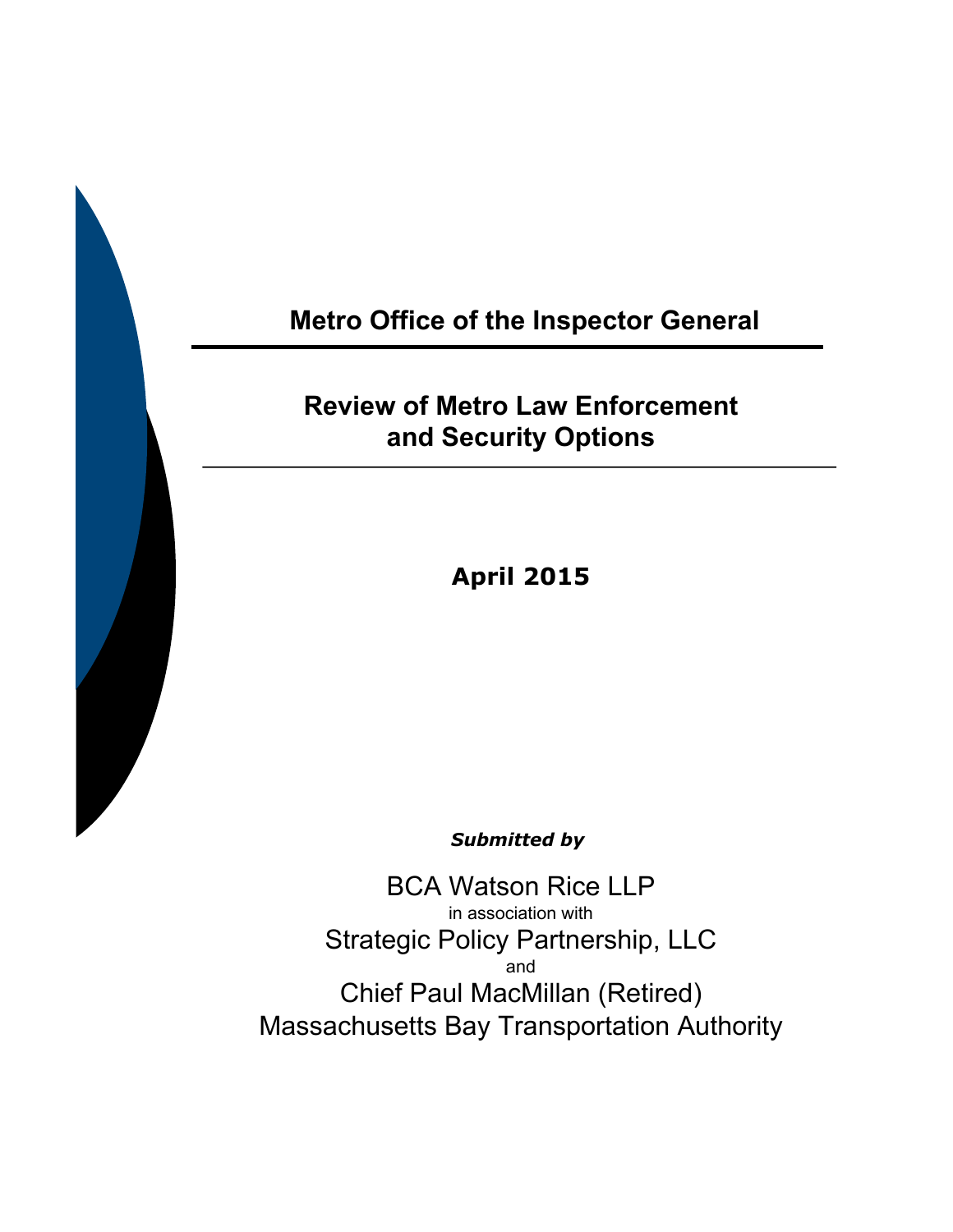# **Metro Office of the Inspector General**

# **Review of Metro Law Enforcement and Security Options**

**April 2015** 

*Submitted by* 

BCA Watson Rice LLP in association with Strategic Policy Partnership, LLC and Chief Paul MacMillan (Retired) Massachusetts Bay Transportation Authority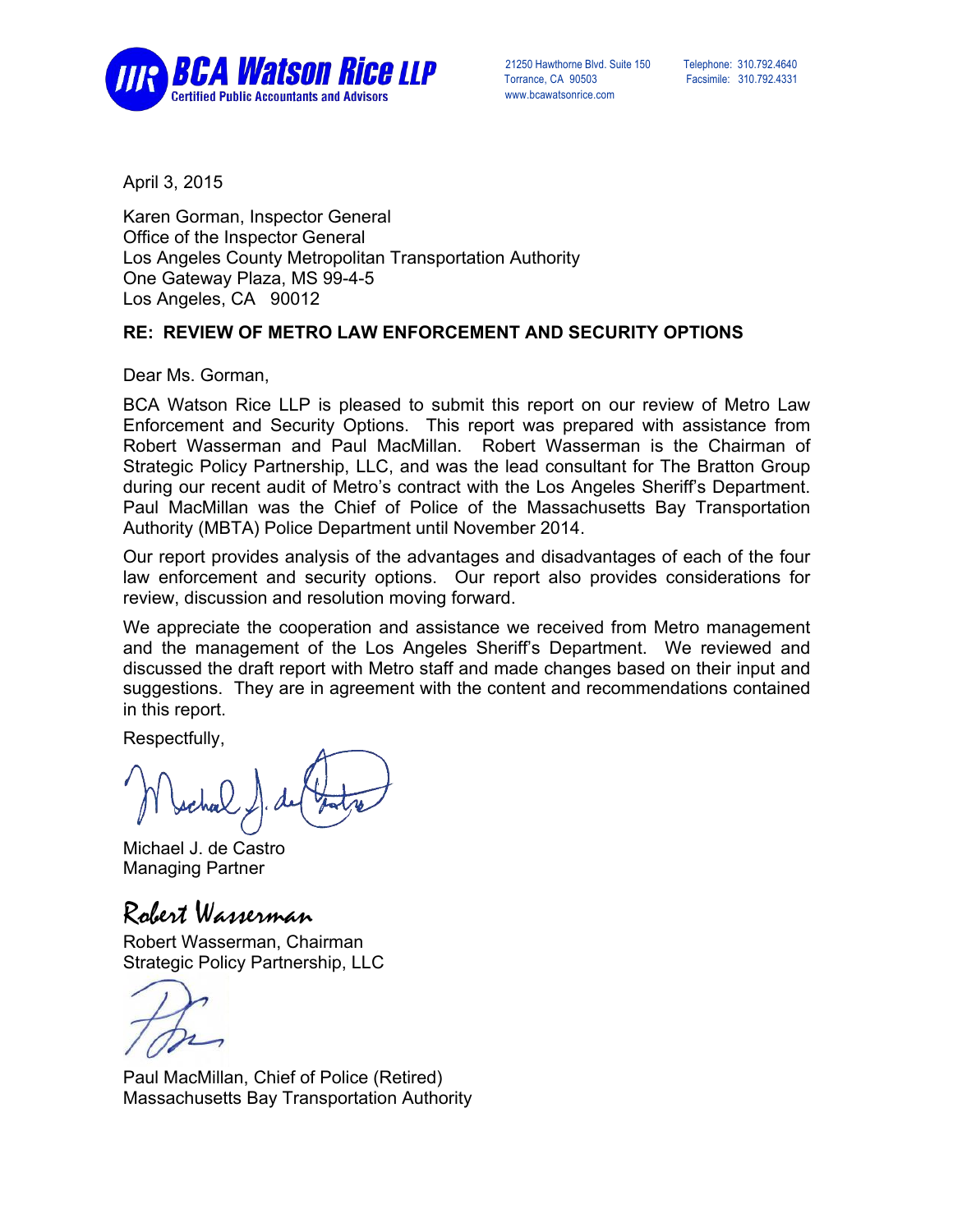

 Torrance, CA 90503 Facsimile: 310.792.4331 www.bcawatsonrice.com

April 3, 2015

Karen Gorman, Inspector General Office of the Inspector General Los Angeles County Metropolitan Transportation Authority One Gateway Plaza, MS 99-4-5 Los Angeles, CA 90012

#### **RE: REVIEW OF METRO LAW ENFORCEMENT AND SECURITY OPTIONS**

Dear Ms. Gorman,

BCA Watson Rice LLP is pleased to submit this report on our review of Metro Law Enforcement and Security Options. This report was prepared with assistance from Robert Wasserman and Paul MacMillan. Robert Wasserman is the Chairman of Strategic Policy Partnership, LLC, and was the lead consultant for The Bratton Group during our recent audit of Metro's contract with the Los Angeles Sheriff's Department. Paul MacMillan was the Chief of Police of the Massachusetts Bay Transportation Authority (MBTA) Police Department until November 2014.

Our report provides analysis of the advantages and disadvantages of each of the four law enforcement and security options. Our report also provides considerations for review, discussion and resolution moving forward.

We appreciate the cooperation and assistance we received from Metro management and the management of the Los Angeles Sheriff's Department. We reviewed and discussed the draft report with Metro staff and made changes based on their input and suggestions. They are in agreement with the content and recommendations contained in this report.

Respectfully,

Michael J. de Castro Managing Partner

Robert Wasserman

Robert Wasserman, Chairman Strategic Policy Partnership, LLC

Paul MacMillan, Chief of Police (Retired) Massachusetts Bay Transportation Authority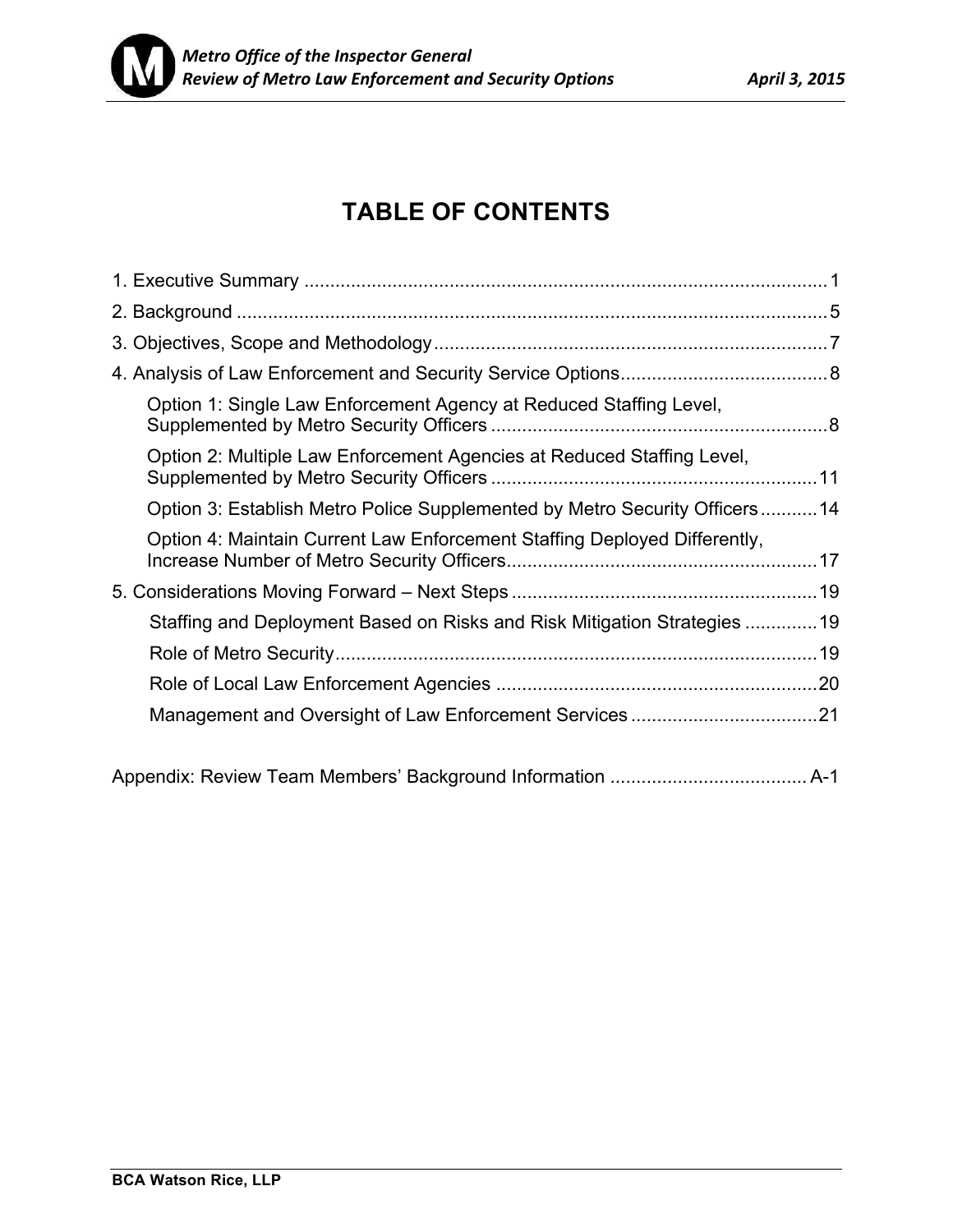

# **TABLE OF CONTENTS**

| Option 1: Single Law Enforcement Agency at Reduced Staffing Level,         |  |
|----------------------------------------------------------------------------|--|
| Option 2: Multiple Law Enforcement Agencies at Reduced Staffing Level,     |  |
| Option 3: Establish Metro Police Supplemented by Metro Security Officers14 |  |
| Option 4: Maintain Current Law Enforcement Staffing Deployed Differently,  |  |
|                                                                            |  |
| Staffing and Deployment Based on Risks and Risk Mitigation Strategies 19   |  |
|                                                                            |  |
|                                                                            |  |
|                                                                            |  |
|                                                                            |  |
|                                                                            |  |

Appendix: Review Team Members' Background Information ...................................... A-1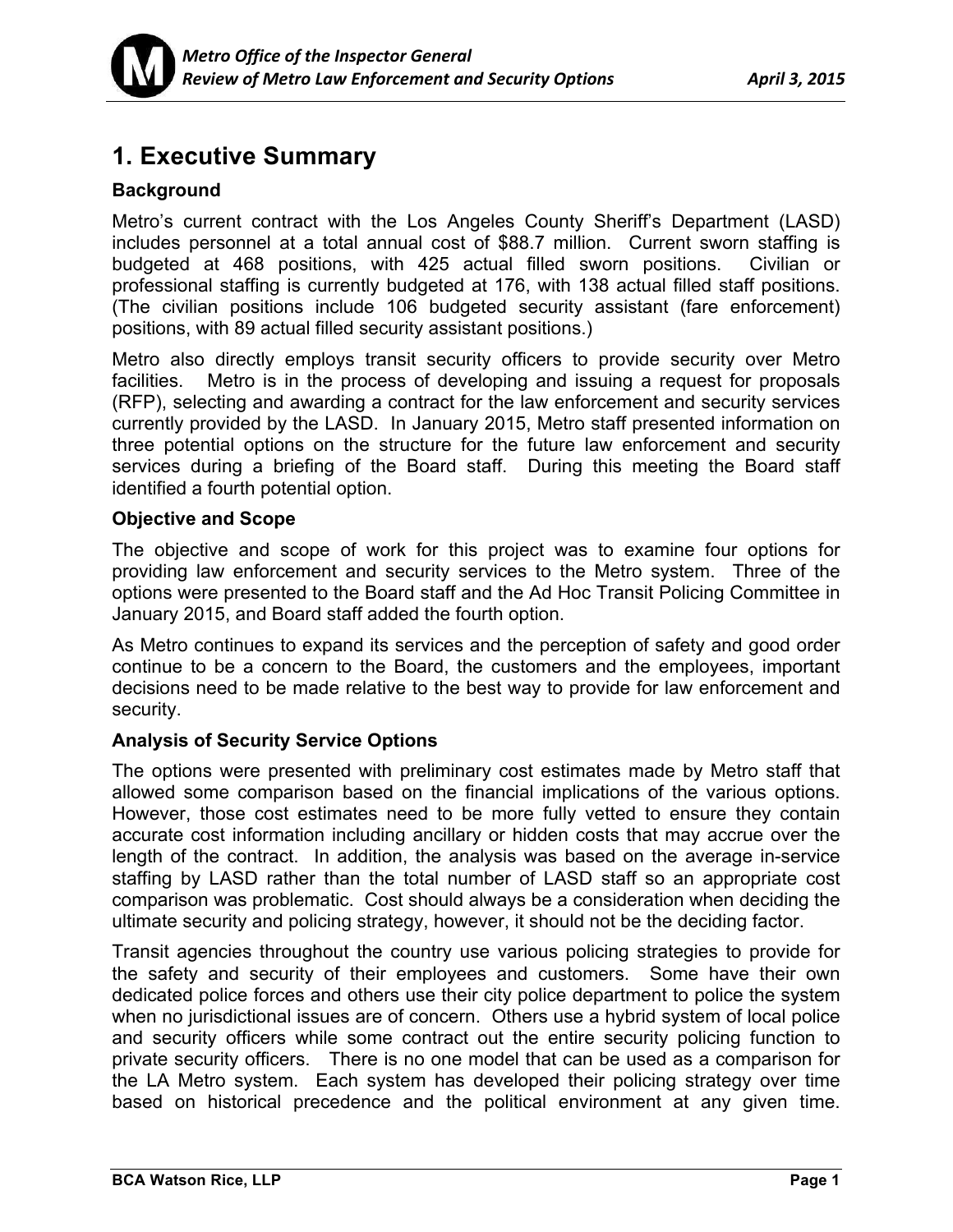

## **1. Executive Summary**

### **Background**

Metro's current contract with the Los Angeles County Sheriff's Department (LASD) includes personnel at a total annual cost of \$88.7 million. Current sworn staffing is budgeted at 468 positions, with 425 actual filled sworn positions. Civilian or professional staffing is currently budgeted at 176, with 138 actual filled staff positions. (The civilian positions include 106 budgeted security assistant (fare enforcement) positions, with 89 actual filled security assistant positions.)

Metro also directly employs transit security officers to provide security over Metro facilities. Metro is in the process of developing and issuing a request for proposals (RFP), selecting and awarding a contract for the law enforcement and security services currently provided by the LASD. In January 2015, Metro staff presented information on three potential options on the structure for the future law enforcement and security services during a briefing of the Board staff. During this meeting the Board staff identified a fourth potential option.

### **Objective and Scope**

The objective and scope of work for this project was to examine four options for providing law enforcement and security services to the Metro system. Three of the options were presented to the Board staff and the Ad Hoc Transit Policing Committee in January 2015, and Board staff added the fourth option.

As Metro continues to expand its services and the perception of safety and good order continue to be a concern to the Board, the customers and the employees, important decisions need to be made relative to the best way to provide for law enforcement and security.

### **Analysis of Security Service Options**

The options were presented with preliminary cost estimates made by Metro staff that allowed some comparison based on the financial implications of the various options. However, those cost estimates need to be more fully vetted to ensure they contain accurate cost information including ancillary or hidden costs that may accrue over the length of the contract. In addition, the analysis was based on the average in-service staffing by LASD rather than the total number of LASD staff so an appropriate cost comparison was problematic. Cost should always be a consideration when deciding the ultimate security and policing strategy, however, it should not be the deciding factor.

Transit agencies throughout the country use various policing strategies to provide for the safety and security of their employees and customers. Some have their own dedicated police forces and others use their city police department to police the system when no jurisdictional issues are of concern. Others use a hybrid system of local police and security officers while some contract out the entire security policing function to private security officers. There is no one model that can be used as a comparison for the LA Metro system. Each system has developed their policing strategy over time based on historical precedence and the political environment at any given time.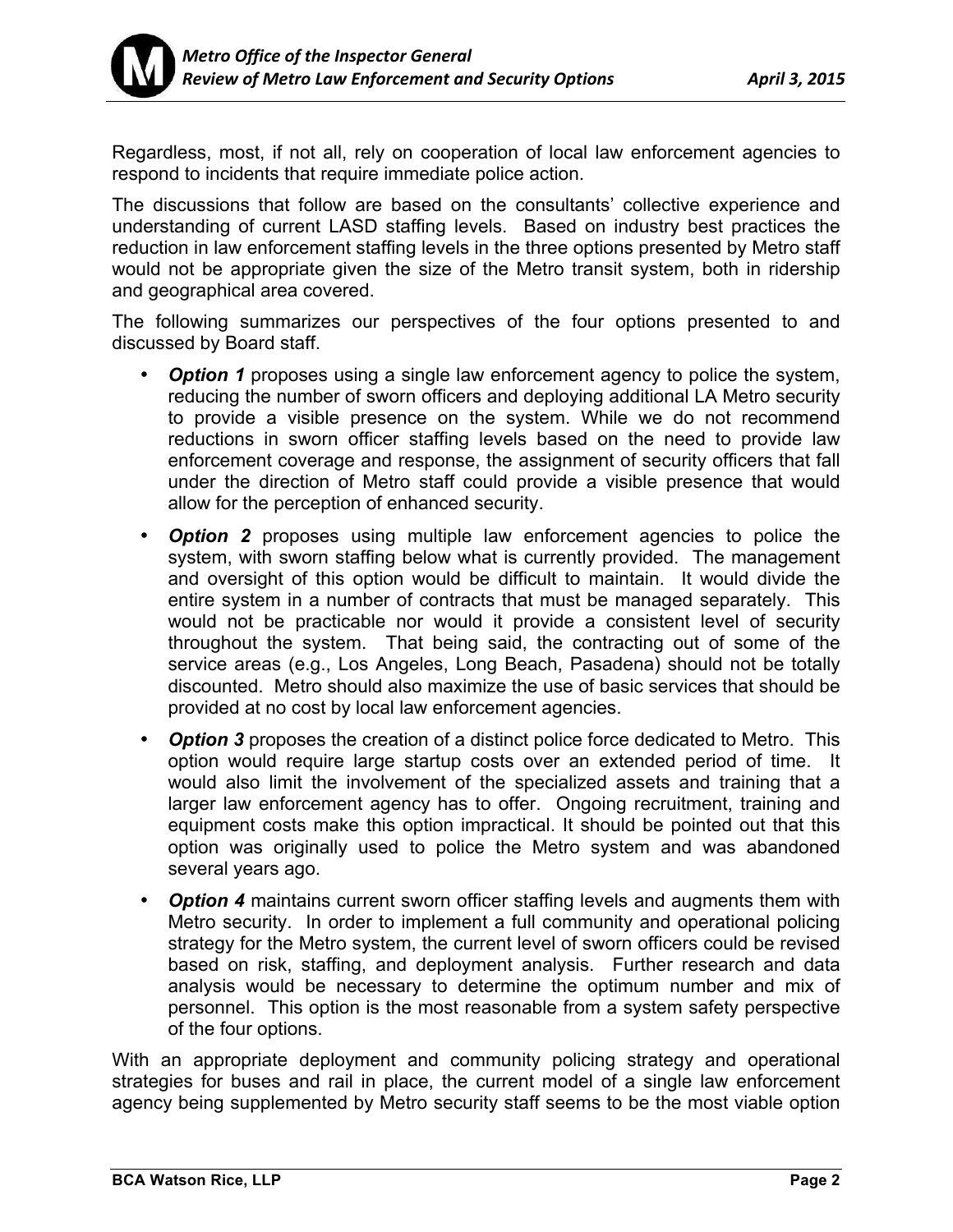

Regardless, most, if not all, rely on cooperation of local law enforcement agencies to respond to incidents that require immediate police action.

The discussions that follow are based on the consultants' collective experience and understanding of current LASD staffing levels. Based on industry best practices the reduction in law enforcement staffing levels in the three options presented by Metro staff would not be appropriate given the size of the Metro transit system, both in ridership and geographical area covered.

The following summarizes our perspectives of the four options presented to and discussed by Board staff.

- *Option 1* proposes using a single law enforcement agency to police the system, reducing the number of sworn officers and deploying additional LA Metro security to provide a visible presence on the system. While we do not recommend reductions in sworn officer staffing levels based on the need to provide law enforcement coverage and response, the assignment of security officers that fall under the direction of Metro staff could provide a visible presence that would allow for the perception of enhanced security.
- *Option 2* proposes using multiple law enforcement agencies to police the system, with sworn staffing below what is currently provided. The management and oversight of this option would be difficult to maintain. It would divide the entire system in a number of contracts that must be managed separately. This would not be practicable nor would it provide a consistent level of security throughout the system. That being said, the contracting out of some of the service areas (e.g., Los Angeles, Long Beach, Pasadena) should not be totally discounted. Metro should also maximize the use of basic services that should be provided at no cost by local law enforcement agencies.
- *Option 3* proposes the creation of a distinct police force dedicated to Metro. This option would require large startup costs over an extended period of time. It would also limit the involvement of the specialized assets and training that a larger law enforcement agency has to offer. Ongoing recruitment, training and equipment costs make this option impractical. It should be pointed out that this option was originally used to police the Metro system and was abandoned several years ago.
- *Option 4* maintains current sworn officer staffing levels and augments them with Metro security. In order to implement a full community and operational policing strategy for the Metro system, the current level of sworn officers could be revised based on risk, staffing, and deployment analysis. Further research and data analysis would be necessary to determine the optimum number and mix of personnel. This option is the most reasonable from a system safety perspective of the four options.

With an appropriate deployment and community policing strategy and operational strategies for buses and rail in place, the current model of a single law enforcement agency being supplemented by Metro security staff seems to be the most viable option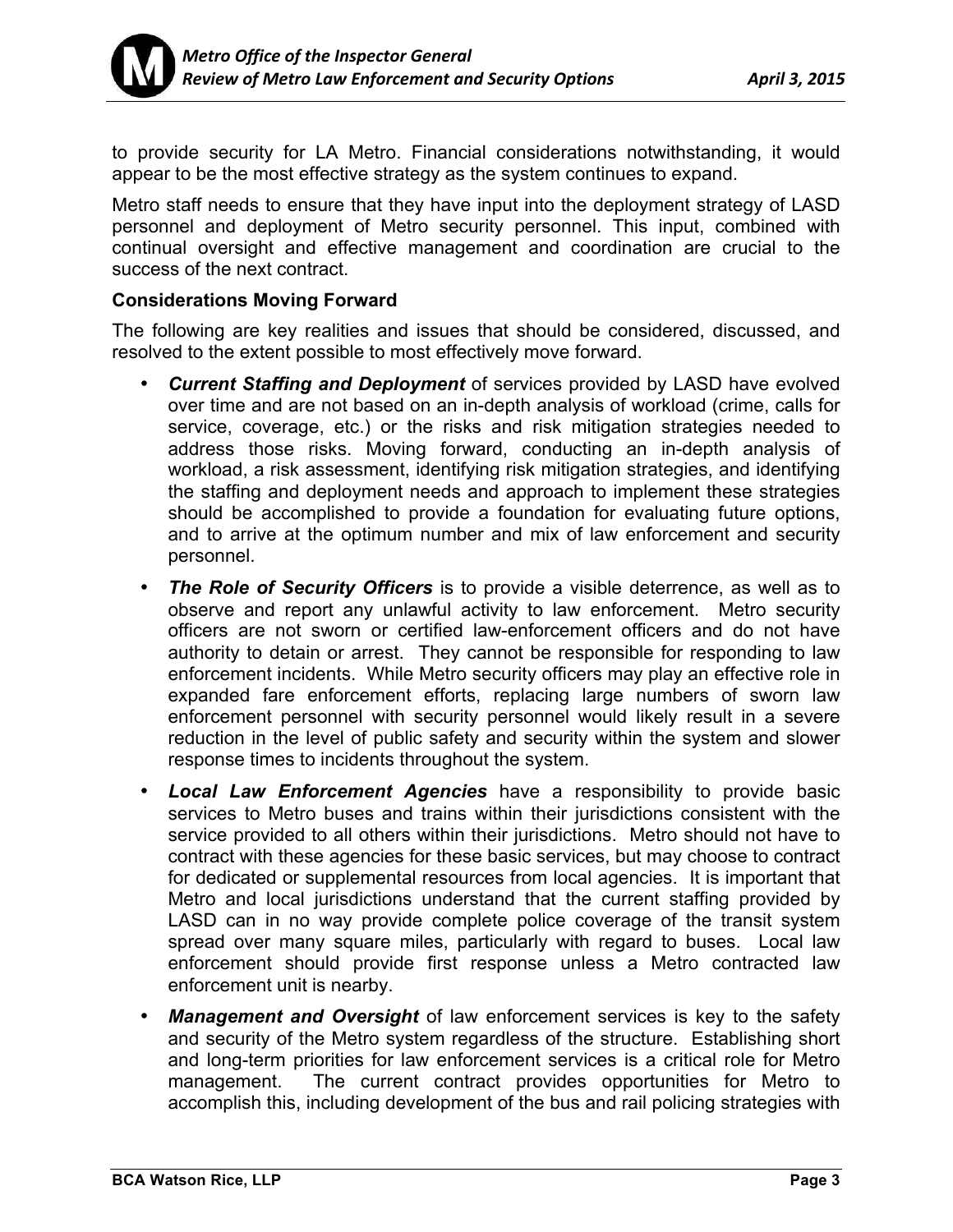

to provide security for LA Metro. Financial considerations notwithstanding, it would appear to be the most effective strategy as the system continues to expand.

Metro staff needs to ensure that they have input into the deployment strategy of LASD personnel and deployment of Metro security personnel. This input, combined with continual oversight and effective management and coordination are crucial to the success of the next contract.

### **Considerations Moving Forward**

The following are key realities and issues that should be considered, discussed, and resolved to the extent possible to most effectively move forward.

- *Current Staffing and Deployment* of services provided by LASD have evolved over time and are not based on an in-depth analysis of workload (crime, calls for service, coverage, etc.) or the risks and risk mitigation strategies needed to address those risks. Moving forward, conducting an in-depth analysis of workload, a risk assessment, identifying risk mitigation strategies, and identifying the staffing and deployment needs and approach to implement these strategies should be accomplished to provide a foundation for evaluating future options, and to arrive at the optimum number and mix of law enforcement and security personnel.
- **The Role of Security Officers** is to provide a visible deterrence, as well as to observe and report any unlawful activity to law enforcement. Metro security officers are not sworn or certified law-enforcement officers and do not have authority to detain or arrest. They cannot be responsible for responding to law enforcement incidents. While Metro security officers may play an effective role in expanded fare enforcement efforts, replacing large numbers of sworn law enforcement personnel with security personnel would likely result in a severe reduction in the level of public safety and security within the system and slower response times to incidents throughout the system.
- *Local Law Enforcement Agencies* have a responsibility to provide basic services to Metro buses and trains within their jurisdictions consistent with the service provided to all others within their jurisdictions. Metro should not have to contract with these agencies for these basic services, but may choose to contract for dedicated or supplemental resources from local agencies. It is important that Metro and local jurisdictions understand that the current staffing provided by LASD can in no way provide complete police coverage of the transit system spread over many square miles, particularly with regard to buses. Local law enforcement should provide first response unless a Metro contracted law enforcement unit is nearby.
- **Management and Oversight** of law enforcement services is key to the safety and security of the Metro system regardless of the structure. Establishing short and long-term priorities for law enforcement services is a critical role for Metro management. The current contract provides opportunities for Metro to accomplish this, including development of the bus and rail policing strategies with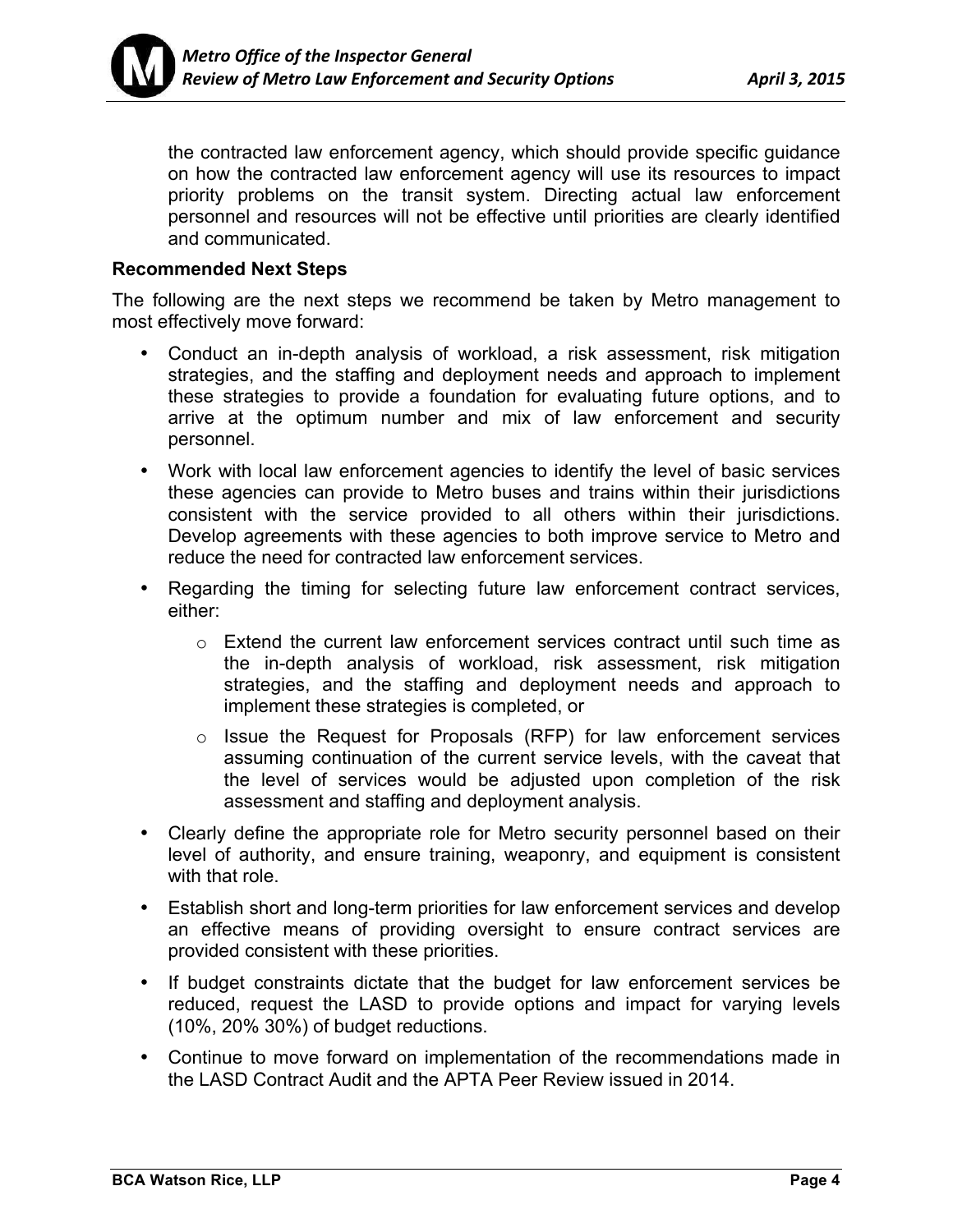

the contracted law enforcement agency, which should provide specific guidance on how the contracted law enforcement agency will use its resources to impact priority problems on the transit system. Directing actual law enforcement personnel and resources will not be effective until priorities are clearly identified and communicated.

### **Recommended Next Steps**

The following are the next steps we recommend be taken by Metro management to most effectively move forward:

- Conduct an in-depth analysis of workload, a risk assessment, risk mitigation strategies, and the staffing and deployment needs and approach to implement these strategies to provide a foundation for evaluating future options, and to arrive at the optimum number and mix of law enforcement and security personnel.
- Work with local law enforcement agencies to identify the level of basic services these agencies can provide to Metro buses and trains within their jurisdictions consistent with the service provided to all others within their jurisdictions. Develop agreements with these agencies to both improve service to Metro and reduce the need for contracted law enforcement services.
- Regarding the timing for selecting future law enforcement contract services, either:
	- o Extend the current law enforcement services contract until such time as the in-depth analysis of workload, risk assessment, risk mitigation strategies, and the staffing and deployment needs and approach to implement these strategies is completed, or
	- o Issue the Request for Proposals (RFP) for law enforcement services assuming continuation of the current service levels, with the caveat that the level of services would be adjusted upon completion of the risk assessment and staffing and deployment analysis.
- Clearly define the appropriate role for Metro security personnel based on their level of authority, and ensure training, weaponry, and equipment is consistent with that role.
- Establish short and long-term priorities for law enforcement services and develop an effective means of providing oversight to ensure contract services are provided consistent with these priorities.
- If budget constraints dictate that the budget for law enforcement services be reduced, request the LASD to provide options and impact for varying levels (10%, 20% 30%) of budget reductions.
- Continue to move forward on implementation of the recommendations made in the LASD Contract Audit and the APTA Peer Review issued in 2014.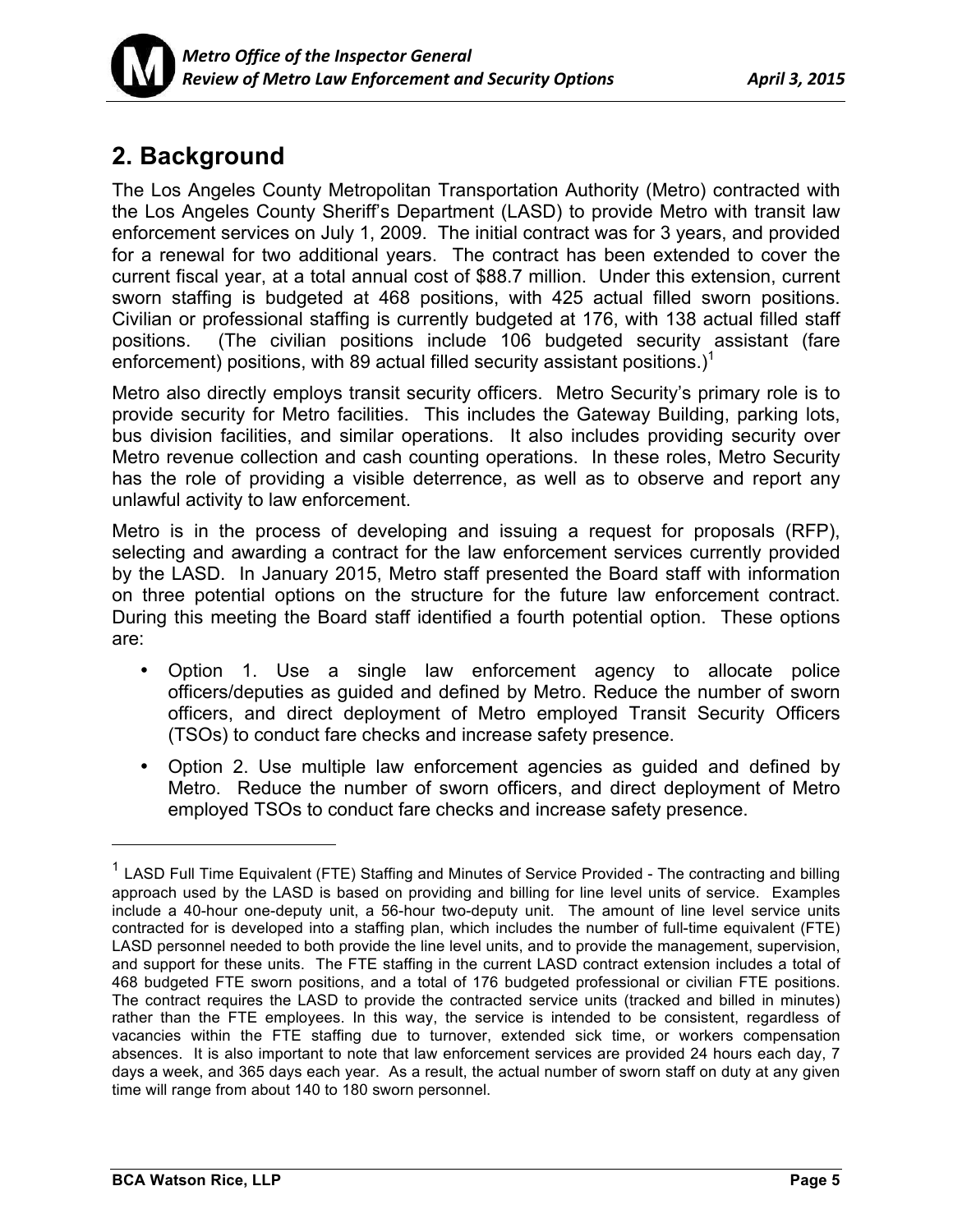

# **2. Background**

The Los Angeles County Metropolitan Transportation Authority (Metro) contracted with the Los Angeles County Sheriff's Department (LASD) to provide Metro with transit law enforcement services on July 1, 2009. The initial contract was for 3 years, and provided for a renewal for two additional years. The contract has been extended to cover the current fiscal year, at a total annual cost of \$88.7 million. Under this extension, current sworn staffing is budgeted at 468 positions, with 425 actual filled sworn positions. Civilian or professional staffing is currently budgeted at 176, with 138 actual filled staff positions. (The civilian positions include 106 budgeted security assistant (fare enforcement) positions, with 89 actual filled security assistant positions.)<sup>1</sup>

Metro also directly employs transit security officers. Metro Security's primary role is to provide security for Metro facilities. This includes the Gateway Building, parking lots, bus division facilities, and similar operations. It also includes providing security over Metro revenue collection and cash counting operations. In these roles, Metro Security has the role of providing a visible deterrence, as well as to observe and report any unlawful activity to law enforcement.

Metro is in the process of developing and issuing a request for proposals (RFP), selecting and awarding a contract for the law enforcement services currently provided by the LASD. In January 2015, Metro staff presented the Board staff with information on three potential options on the structure for the future law enforcement contract. During this meeting the Board staff identified a fourth potential option. These options are:

- Option 1. Use a single law enforcement agency to allocate police officers/deputies as guided and defined by Metro. Reduce the number of sworn officers, and direct deployment of Metro employed Transit Security Officers (TSOs) to conduct fare checks and increase safety presence.
- Option 2. Use multiple law enforcement agencies as guided and defined by Metro. Reduce the number of sworn officers, and direct deployment of Metro employed TSOs to conduct fare checks and increase safety presence.

 $\overline{a}$ 

 $1$  LASD Full Time Equivalent (FTE) Staffing and Minutes of Service Provided - The contracting and billing approach used by the LASD is based on providing and billing for line level units of service. Examples include a 40-hour one-deputy unit, a 56-hour two-deputy unit. The amount of line level service units contracted for is developed into a staffing plan, which includes the number of full-time equivalent (FTE) LASD personnel needed to both provide the line level units, and to provide the management, supervision, and support for these units. The FTE staffing in the current LASD contract extension includes a total of 468 budgeted FTE sworn positions, and a total of 176 budgeted professional or civilian FTE positions. The contract requires the LASD to provide the contracted service units (tracked and billed in minutes) rather than the FTE employees. In this way, the service is intended to be consistent, regardless of vacancies within the FTE staffing due to turnover, extended sick time, or workers compensation absences. It is also important to note that law enforcement services are provided 24 hours each day, 7 days a week, and 365 days each year. As a result, the actual number of sworn staff on duty at any given time will range from about 140 to 180 sworn personnel.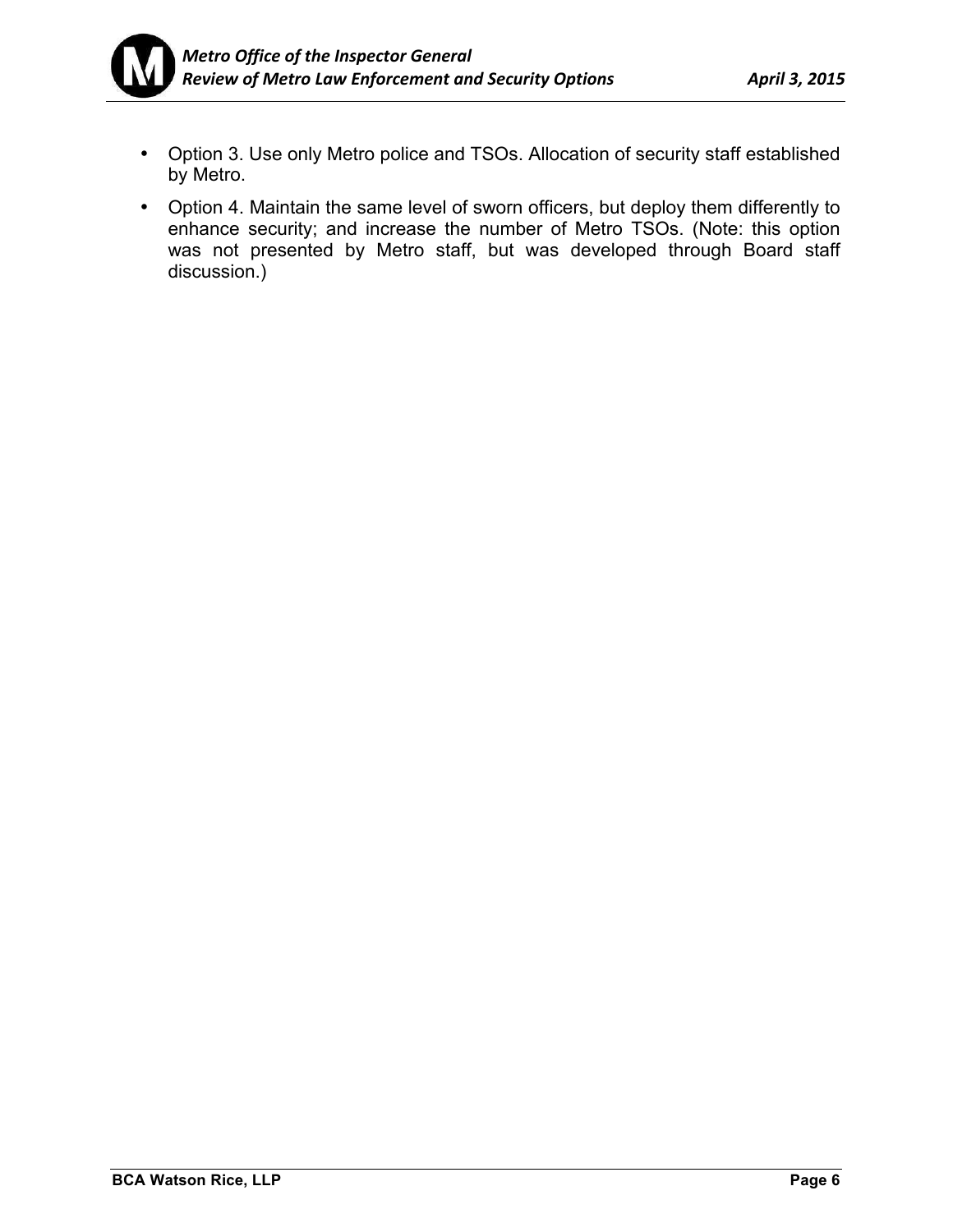

- Option 3. Use only Metro police and TSOs. Allocation of security staff established by Metro.
- Option 4. Maintain the same level of sworn officers, but deploy them differently to enhance security; and increase the number of Metro TSOs. (Note: this option was not presented by Metro staff, but was developed through Board staff discussion.)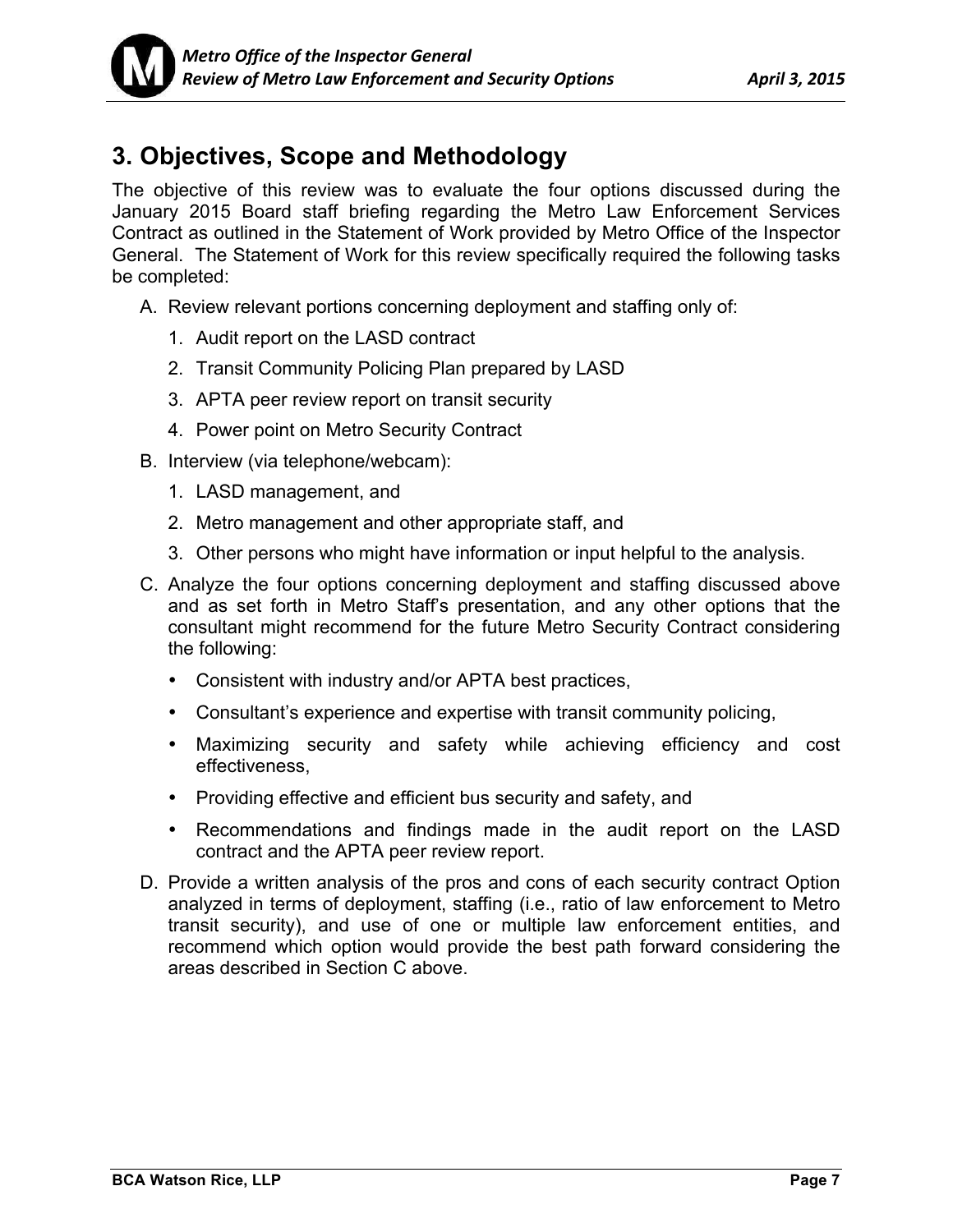# **3. Objectives, Scope and Methodology**

The objective of this review was to evaluate the four options discussed during the January 2015 Board staff briefing regarding the Metro Law Enforcement Services Contract as outlined in the Statement of Work provided by Metro Office of the Inspector General. The Statement of Work for this review specifically required the following tasks be completed:

- A. Review relevant portions concerning deployment and staffing only of:
	- 1. Audit report on the LASD contract
	- 2. Transit Community Policing Plan prepared by LASD
	- 3. APTA peer review report on transit security
	- 4. Power point on Metro Security Contract
- B. Interview (via telephone/webcam):
	- 1. LASD management, and
	- 2. Metro management and other appropriate staff, and
	- 3. Other persons who might have information or input helpful to the analysis.
- C. Analyze the four options concerning deployment and staffing discussed above and as set forth in Metro Staff's presentation, and any other options that the consultant might recommend for the future Metro Security Contract considering the following:
	- Consistent with industry and/or APTA best practices,
	- Consultant's experience and expertise with transit community policing,
	- Maximizing security and safety while achieving efficiency and cost effectiveness,
	- Providing effective and efficient bus security and safety, and
	- Recommendations and findings made in the audit report on the LASD contract and the APTA peer review report.
- D. Provide a written analysis of the pros and cons of each security contract Option analyzed in terms of deployment, staffing (i.e., ratio of law enforcement to Metro transit security), and use of one or multiple law enforcement entities, and recommend which option would provide the best path forward considering the areas described in Section C above.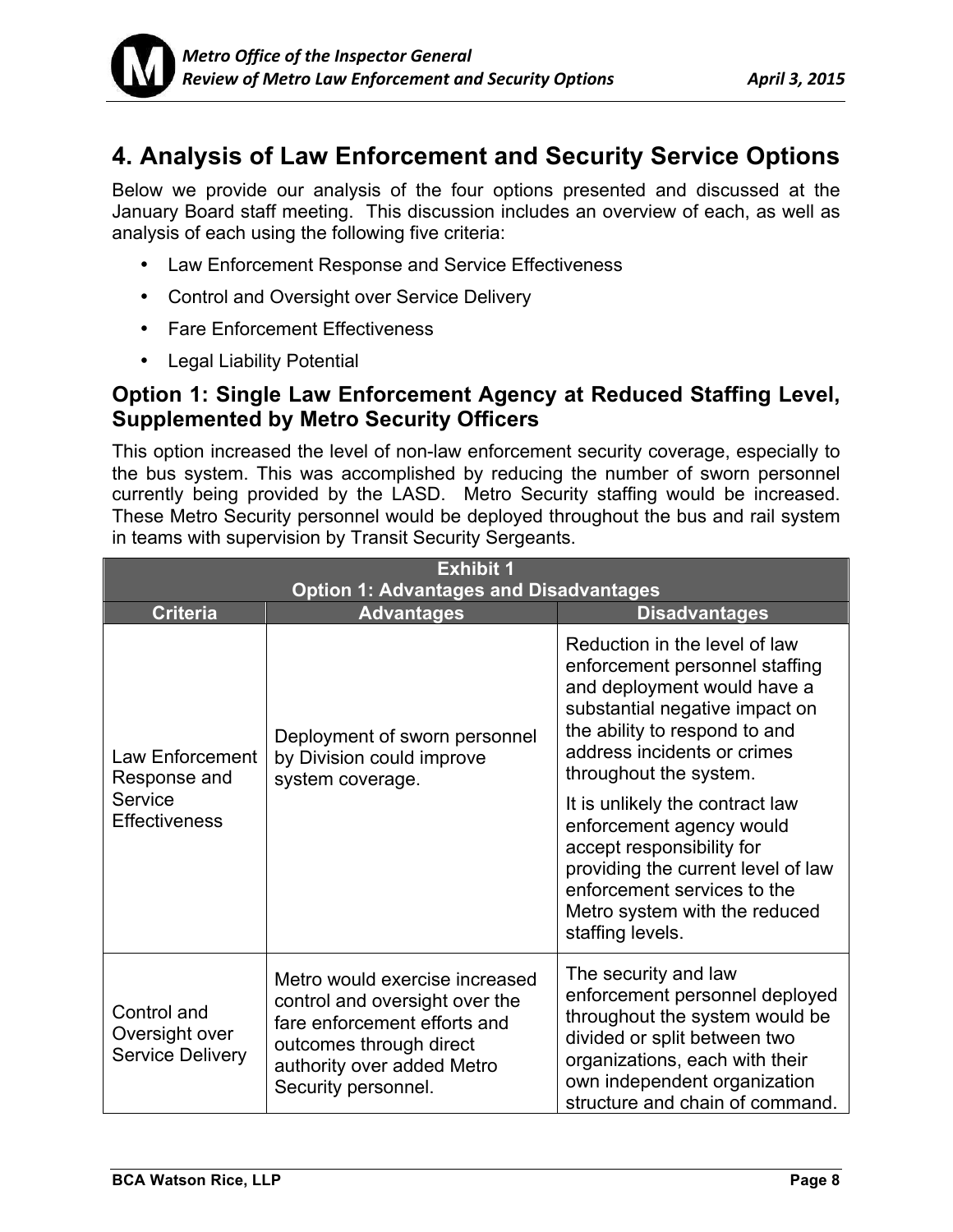

## **4. Analysis of Law Enforcement and Security Service Options**

Below we provide our analysis of the four options presented and discussed at the January Board staff meeting. This discussion includes an overview of each, as well as analysis of each using the following five criteria:

- Law Enforcement Response and Service Effectiveness
- Control and Oversight over Service Delivery
- Fare Enforcement Effectiveness
- Legal Liability Potential

### **Option 1: Single Law Enforcement Agency at Reduced Staffing Level, Supplemented by Metro Security Officers**

This option increased the level of non-law enforcement security coverage, especially to the bus system. This was accomplished by reducing the number of sworn personnel currently being provided by the LASD. Metro Security staffing would be increased. These Metro Security personnel would be deployed throughout the bus and rail system in teams with supervision by Transit Security Sergeants.

| <b>Exhibit 1</b><br><b>Option 1: Advantages and Disadvantages</b>  |                                                                                                                                                                                  |                                                                                                                                                                                                                               |  |
|--------------------------------------------------------------------|----------------------------------------------------------------------------------------------------------------------------------------------------------------------------------|-------------------------------------------------------------------------------------------------------------------------------------------------------------------------------------------------------------------------------|--|
| <b>Criteria</b>                                                    | <b>Advantages</b>                                                                                                                                                                | <b>Disadvantages</b>                                                                                                                                                                                                          |  |
| Law Enforcement<br>Response and<br>Service<br><b>Effectiveness</b> | Deployment of sworn personnel<br>by Division could improve<br>system coverage.                                                                                                   | Reduction in the level of law<br>enforcement personnel staffing<br>and deployment would have a<br>substantial negative impact on<br>the ability to respond to and<br>address incidents or crimes<br>throughout the system.    |  |
|                                                                    |                                                                                                                                                                                  | It is unlikely the contract law<br>enforcement agency would<br>accept responsibility for<br>providing the current level of law<br>enforcement services to the<br>Metro system with the reduced<br>staffing levels.            |  |
| Control and<br>Oversight over<br><b>Service Delivery</b>           | Metro would exercise increased<br>control and oversight over the<br>fare enforcement efforts and<br>outcomes through direct<br>authority over added Metro<br>Security personnel. | The security and law<br>enforcement personnel deployed<br>throughout the system would be<br>divided or split between two<br>organizations, each with their<br>own independent organization<br>structure and chain of command. |  |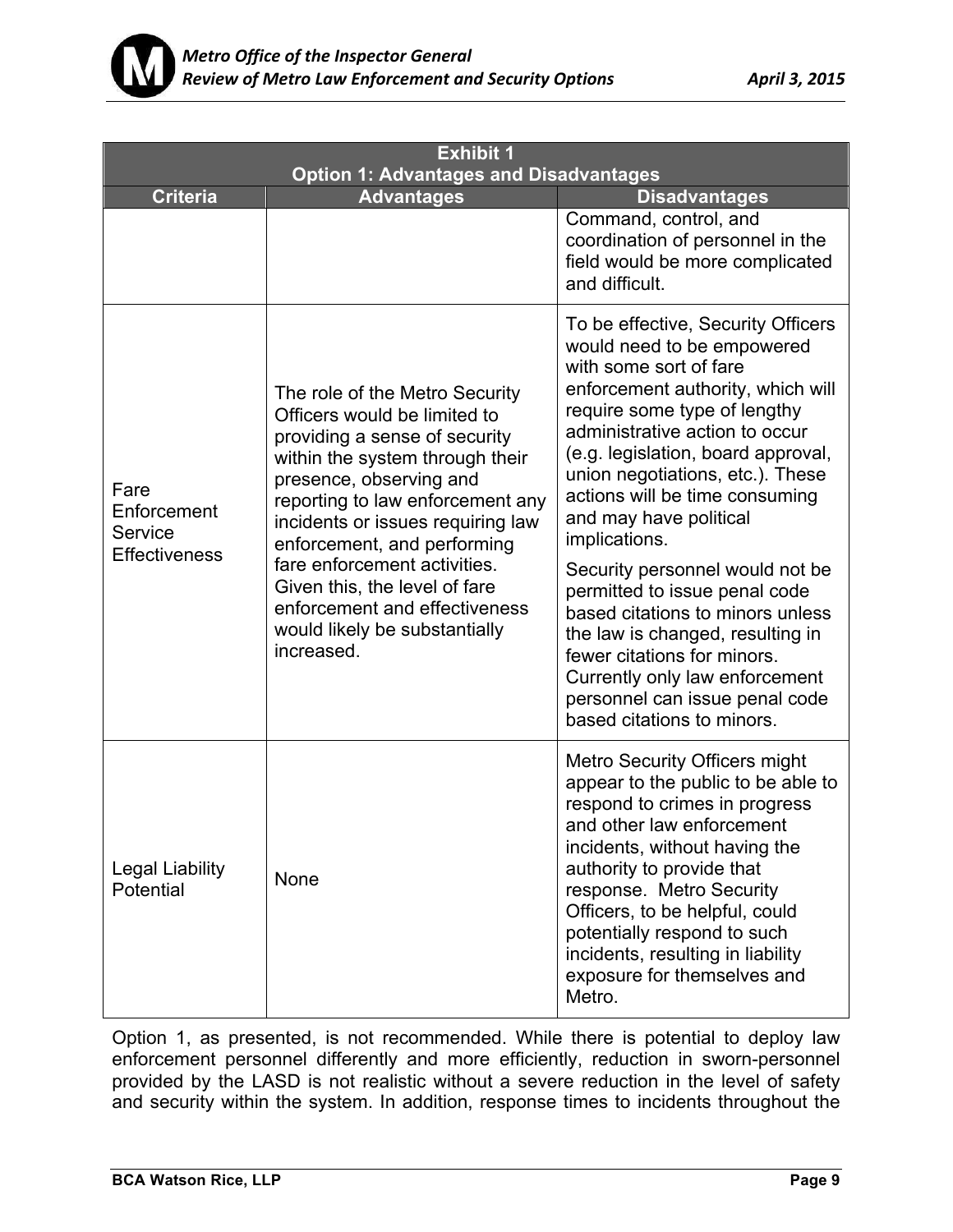

| <b>Exhibit 1</b><br><b>Option 1: Advantages and Disadvantages</b> |                                                                                                                                                                                                                                                                                                                                                                                                                        |                                                                                                                                                                                                                                                                                                                                                                                                                                                                                                                                                                                                                                       |
|-------------------------------------------------------------------|------------------------------------------------------------------------------------------------------------------------------------------------------------------------------------------------------------------------------------------------------------------------------------------------------------------------------------------------------------------------------------------------------------------------|---------------------------------------------------------------------------------------------------------------------------------------------------------------------------------------------------------------------------------------------------------------------------------------------------------------------------------------------------------------------------------------------------------------------------------------------------------------------------------------------------------------------------------------------------------------------------------------------------------------------------------------|
| <b>Criteria</b>                                                   | <b>Advantages</b>                                                                                                                                                                                                                                                                                                                                                                                                      | <b>Disadvantages</b>                                                                                                                                                                                                                                                                                                                                                                                                                                                                                                                                                                                                                  |
|                                                                   |                                                                                                                                                                                                                                                                                                                                                                                                                        | Command, control, and<br>coordination of personnel in the<br>field would be more complicated<br>and difficult.                                                                                                                                                                                                                                                                                                                                                                                                                                                                                                                        |
| Fare<br>Enforcement<br>Service<br><b>Effectiveness</b>            | The role of the Metro Security<br>Officers would be limited to<br>providing a sense of security<br>within the system through their<br>presence, observing and<br>reporting to law enforcement any<br>incidents or issues requiring law<br>enforcement, and performing<br>fare enforcement activities.<br>Given this, the level of fare<br>enforcement and effectiveness<br>would likely be substantially<br>increased. | To be effective, Security Officers<br>would need to be empowered<br>with some sort of fare<br>enforcement authority, which will<br>require some type of lengthy<br>administrative action to occur<br>(e.g. legislation, board approval,<br>union negotiations, etc.). These<br>actions will be time consuming<br>and may have political<br>implications.<br>Security personnel would not be<br>permitted to issue penal code<br>based citations to minors unless<br>the law is changed, resulting in<br>fewer citations for minors.<br>Currently only law enforcement<br>personnel can issue penal code<br>based citations to minors. |
| <b>Legal Liability</b><br>Potential                               | <b>None</b>                                                                                                                                                                                                                                                                                                                                                                                                            | <b>Metro Security Officers might</b><br>appear to the public to be able to<br>respond to crimes in progress<br>and other law enforcement<br>incidents, without having the<br>authority to provide that<br>response. Metro Security<br>Officers, to be helpful, could<br>potentially respond to such<br>incidents, resulting in liability<br>exposure for themselves and<br>Metro.                                                                                                                                                                                                                                                     |

Option 1, as presented, is not recommended. While there is potential to deploy law enforcement personnel differently and more efficiently, reduction in sworn-personnel provided by the LASD is not realistic without a severe reduction in the level of safety and security within the system. In addition, response times to incidents throughout the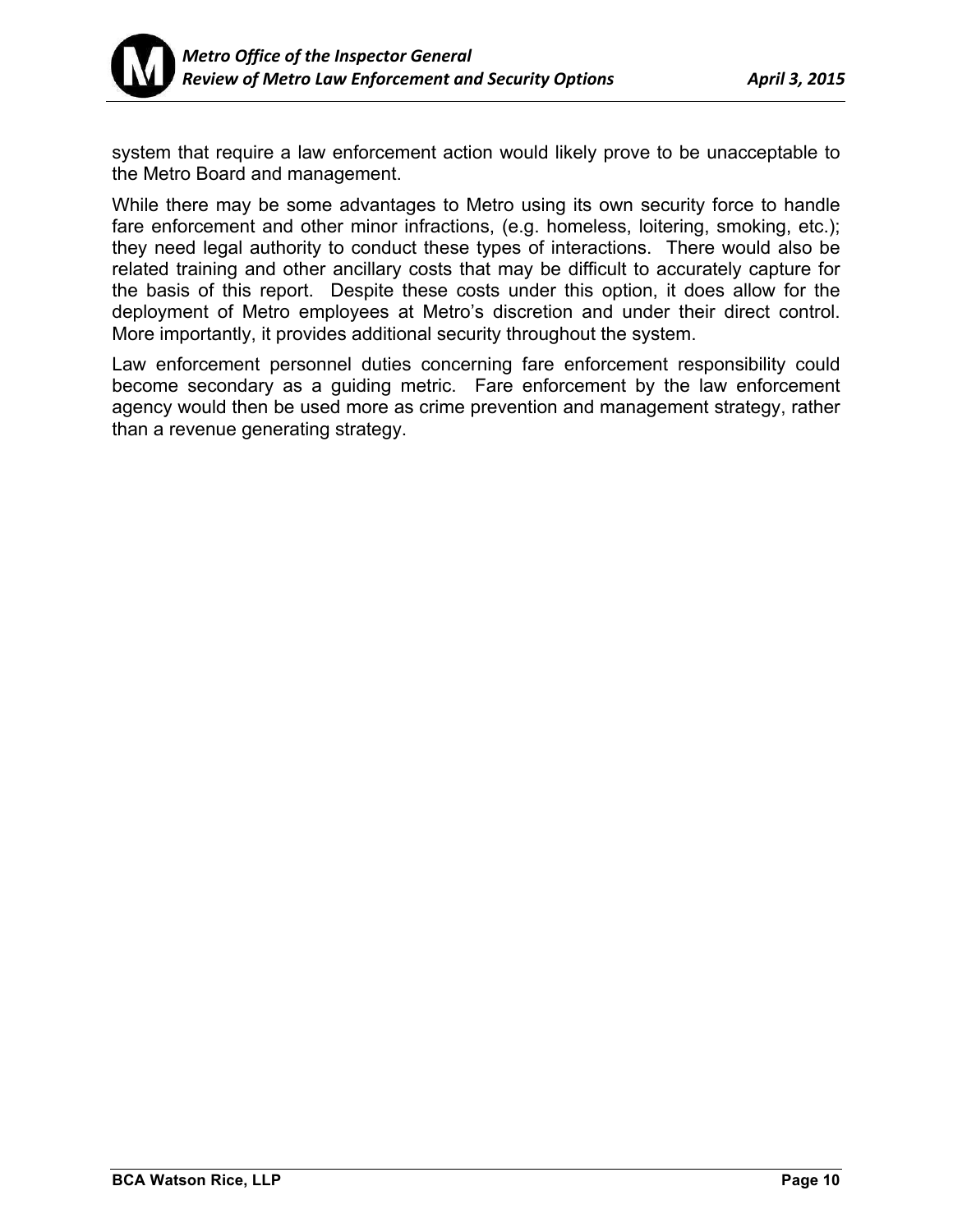

system that require a law enforcement action would likely prove to be unacceptable to the Metro Board and management.

While there may be some advantages to Metro using its own security force to handle fare enforcement and other minor infractions, (e.g. homeless, loitering, smoking, etc.); they need legal authority to conduct these types of interactions. There would also be related training and other ancillary costs that may be difficult to accurately capture for the basis of this report. Despite these costs under this option, it does allow for the deployment of Metro employees at Metro's discretion and under their direct control. More importantly, it provides additional security throughout the system.

Law enforcement personnel duties concerning fare enforcement responsibility could become secondary as a guiding metric. Fare enforcement by the law enforcement agency would then be used more as crime prevention and management strategy, rather than a revenue generating strategy.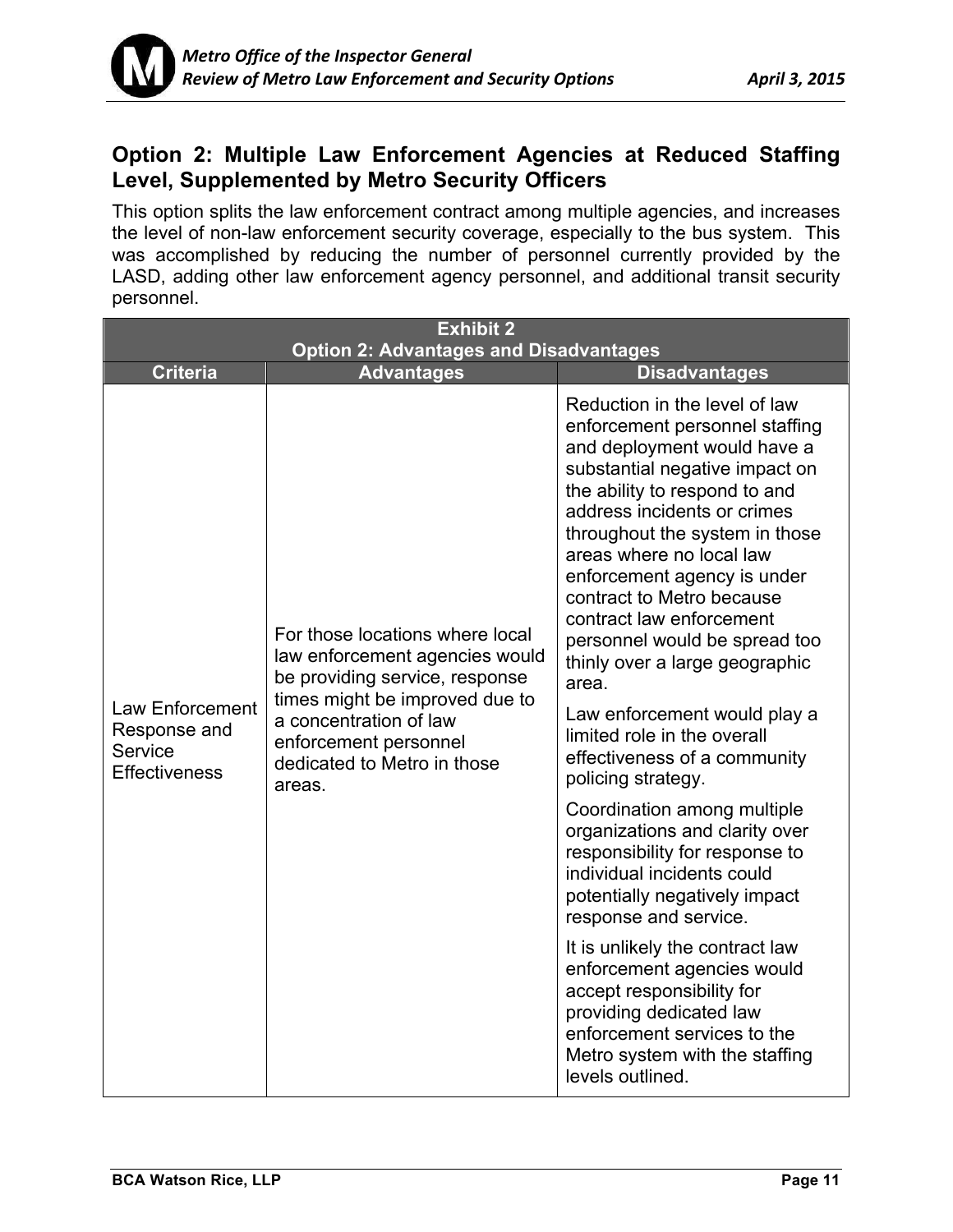

## **Option 2: Multiple Law Enforcement Agencies at Reduced Staffing Level, Supplemented by Metro Security Officers**

This option splits the law enforcement contract among multiple agencies, and increases the level of non-law enforcement security coverage, especially to the bus system. This was accomplished by reducing the number of personnel currently provided by the LASD, adding other law enforcement agency personnel, and additional transit security personnel.

| <b>Exhibit 2</b>                                                   |                                                                                                                                                                                                                                   |                                                                                                                                                                                                                                                                                                                                                                                                                                                                                                                                                                                                                                                                                                                                                                                                                     |  |
|--------------------------------------------------------------------|-----------------------------------------------------------------------------------------------------------------------------------------------------------------------------------------------------------------------------------|---------------------------------------------------------------------------------------------------------------------------------------------------------------------------------------------------------------------------------------------------------------------------------------------------------------------------------------------------------------------------------------------------------------------------------------------------------------------------------------------------------------------------------------------------------------------------------------------------------------------------------------------------------------------------------------------------------------------------------------------------------------------------------------------------------------------|--|
| <b>Criteria</b>                                                    | <b>Option 2: Advantages and Disadvantages</b><br><b>Advantages</b>                                                                                                                                                                | <b>Disadvantages</b>                                                                                                                                                                                                                                                                                                                                                                                                                                                                                                                                                                                                                                                                                                                                                                                                |  |
| Law Enforcement<br>Response and<br>Service<br><b>Effectiveness</b> | For those locations where local<br>law enforcement agencies would<br>be providing service, response<br>times might be improved due to<br>a concentration of law<br>enforcement personnel<br>dedicated to Metro in those<br>areas. | Reduction in the level of law<br>enforcement personnel staffing<br>and deployment would have a<br>substantial negative impact on<br>the ability to respond to and<br>address incidents or crimes<br>throughout the system in those<br>areas where no local law<br>enforcement agency is under<br>contract to Metro because<br>contract law enforcement<br>personnel would be spread too<br>thinly over a large geographic<br>area.<br>Law enforcement would play a<br>limited role in the overall<br>effectiveness of a community<br>policing strategy.<br>Coordination among multiple<br>organizations and clarity over<br>responsibility for response to<br>individual incidents could<br>potentially negatively impact<br>response and service.<br>It is unlikely the contract law<br>enforcement agencies would |  |
|                                                                    |                                                                                                                                                                                                                                   | accept responsibility for<br>providing dedicated law<br>enforcement services to the<br>Metro system with the staffing<br>levels outlined.                                                                                                                                                                                                                                                                                                                                                                                                                                                                                                                                                                                                                                                                           |  |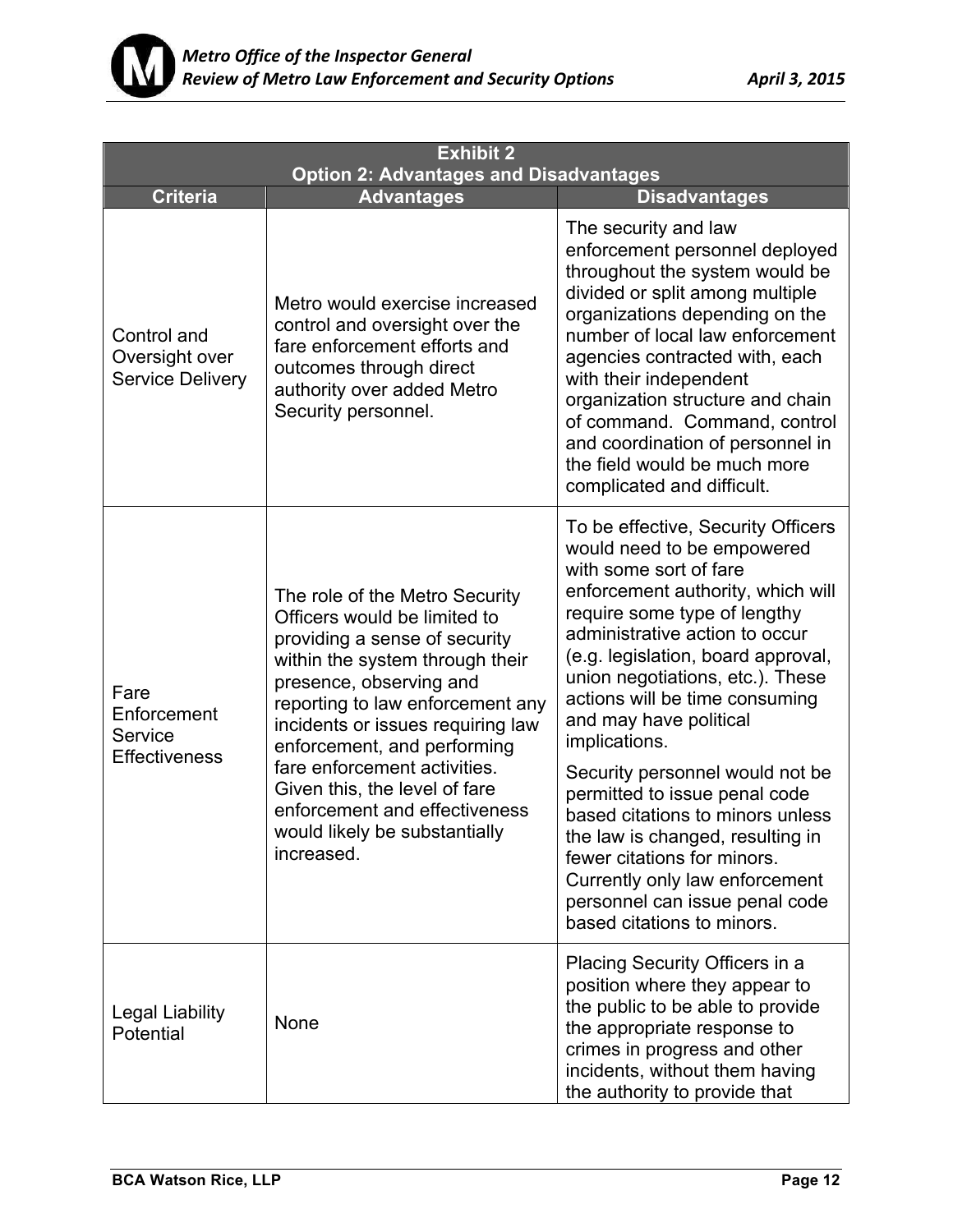

| <b>Exhibit 2</b><br><b>Option 2: Advantages and Disadvantages</b> |                                                                                                                                                                                                                                                                                                                                                                                                                        |                                                                                                                                                                                                                                                                                                                                                                                                                                                                                                                                                                                                                                       |  |
|-------------------------------------------------------------------|------------------------------------------------------------------------------------------------------------------------------------------------------------------------------------------------------------------------------------------------------------------------------------------------------------------------------------------------------------------------------------------------------------------------|---------------------------------------------------------------------------------------------------------------------------------------------------------------------------------------------------------------------------------------------------------------------------------------------------------------------------------------------------------------------------------------------------------------------------------------------------------------------------------------------------------------------------------------------------------------------------------------------------------------------------------------|--|
| <b>Criteria</b>                                                   | <b>Advantages</b>                                                                                                                                                                                                                                                                                                                                                                                                      | <b>Disadvantages</b>                                                                                                                                                                                                                                                                                                                                                                                                                                                                                                                                                                                                                  |  |
| Control and<br>Oversight over<br><b>Service Delivery</b>          | Metro would exercise increased<br>control and oversight over the<br>fare enforcement efforts and<br>outcomes through direct<br>authority over added Metro<br>Security personnel.                                                                                                                                                                                                                                       | The security and law<br>enforcement personnel deployed<br>throughout the system would be<br>divided or split among multiple<br>organizations depending on the<br>number of local law enforcement<br>agencies contracted with, each<br>with their independent<br>organization structure and chain<br>of command. Command, control<br>and coordination of personnel in<br>the field would be much more<br>complicated and difficult.                                                                                                                                                                                                    |  |
| Fare<br>Enforcement<br>Service<br><b>Effectiveness</b>            | The role of the Metro Security<br>Officers would be limited to<br>providing a sense of security<br>within the system through their<br>presence, observing and<br>reporting to law enforcement any<br>incidents or issues requiring law<br>enforcement, and performing<br>fare enforcement activities.<br>Given this, the level of fare<br>enforcement and effectiveness<br>would likely be substantially<br>increased. | To be effective, Security Officers<br>would need to be empowered<br>with some sort of fare<br>enforcement authority, which will<br>require some type of lengthy<br>administrative action to occur<br>(e.g. legislation, board approval,<br>union negotiations, etc.). These<br>actions will be time consuming<br>and may have political<br>implications.<br>Security personnel would not be<br>permitted to issue penal code<br>based citations to minors unless<br>the law is changed, resulting in<br>fewer citations for minors.<br>Currently only law enforcement<br>personnel can issue penal code<br>based citations to minors. |  |
| <b>Legal Liability</b><br>Potential                               | <b>None</b>                                                                                                                                                                                                                                                                                                                                                                                                            | Placing Security Officers in a<br>position where they appear to<br>the public to be able to provide<br>the appropriate response to<br>crimes in progress and other<br>incidents, without them having<br>the authority to provide that                                                                                                                                                                                                                                                                                                                                                                                                 |  |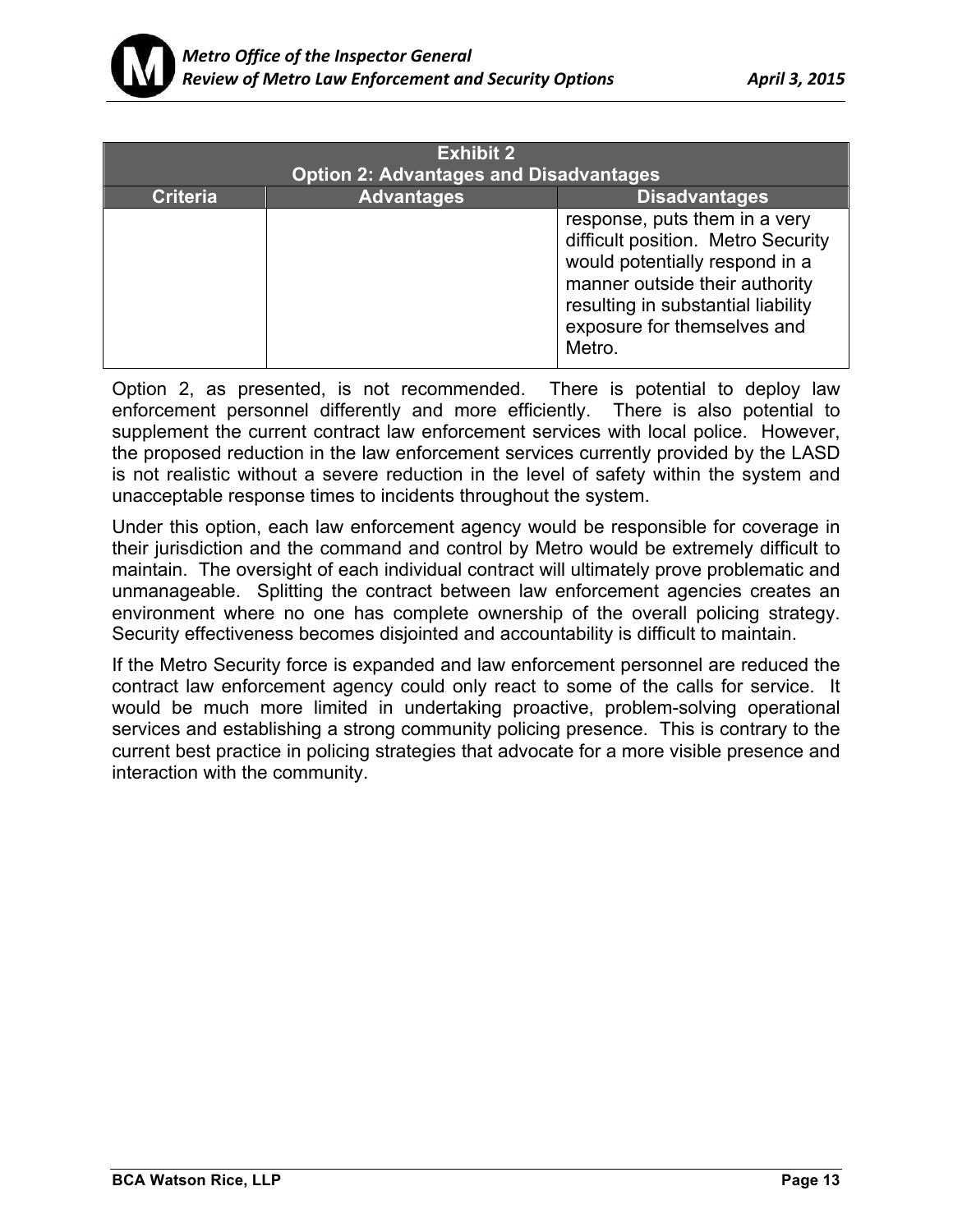

| <b>Exhibit 2</b><br><b>Option 2: Advantages and Disadvantages</b> |                   |                                                                                                                                                                                                                        |  |
|-------------------------------------------------------------------|-------------------|------------------------------------------------------------------------------------------------------------------------------------------------------------------------------------------------------------------------|--|
| <b>Criteria</b>                                                   | <b>Advantages</b> | <b>Disadvantages</b>                                                                                                                                                                                                   |  |
|                                                                   |                   | response, puts them in a very<br>difficult position. Metro Security<br>would potentially respond in a<br>manner outside their authority<br>resulting in substantial liability<br>exposure for themselves and<br>Metro. |  |

Option 2, as presented, is not recommended. There is potential to deploy law enforcement personnel differently and more efficiently. There is also potential to supplement the current contract law enforcement services with local police. However, the proposed reduction in the law enforcement services currently provided by the LASD is not realistic without a severe reduction in the level of safety within the system and unacceptable response times to incidents throughout the system.

Under this option, each law enforcement agency would be responsible for coverage in their jurisdiction and the command and control by Metro would be extremely difficult to maintain. The oversight of each individual contract will ultimately prove problematic and unmanageable. Splitting the contract between law enforcement agencies creates an environment where no one has complete ownership of the overall policing strategy. Security effectiveness becomes disjointed and accountability is difficult to maintain.

If the Metro Security force is expanded and law enforcement personnel are reduced the contract law enforcement agency could only react to some of the calls for service. It would be much more limited in undertaking proactive, problem-solving operational services and establishing a strong community policing presence. This is contrary to the current best practice in policing strategies that advocate for a more visible presence and interaction with the community.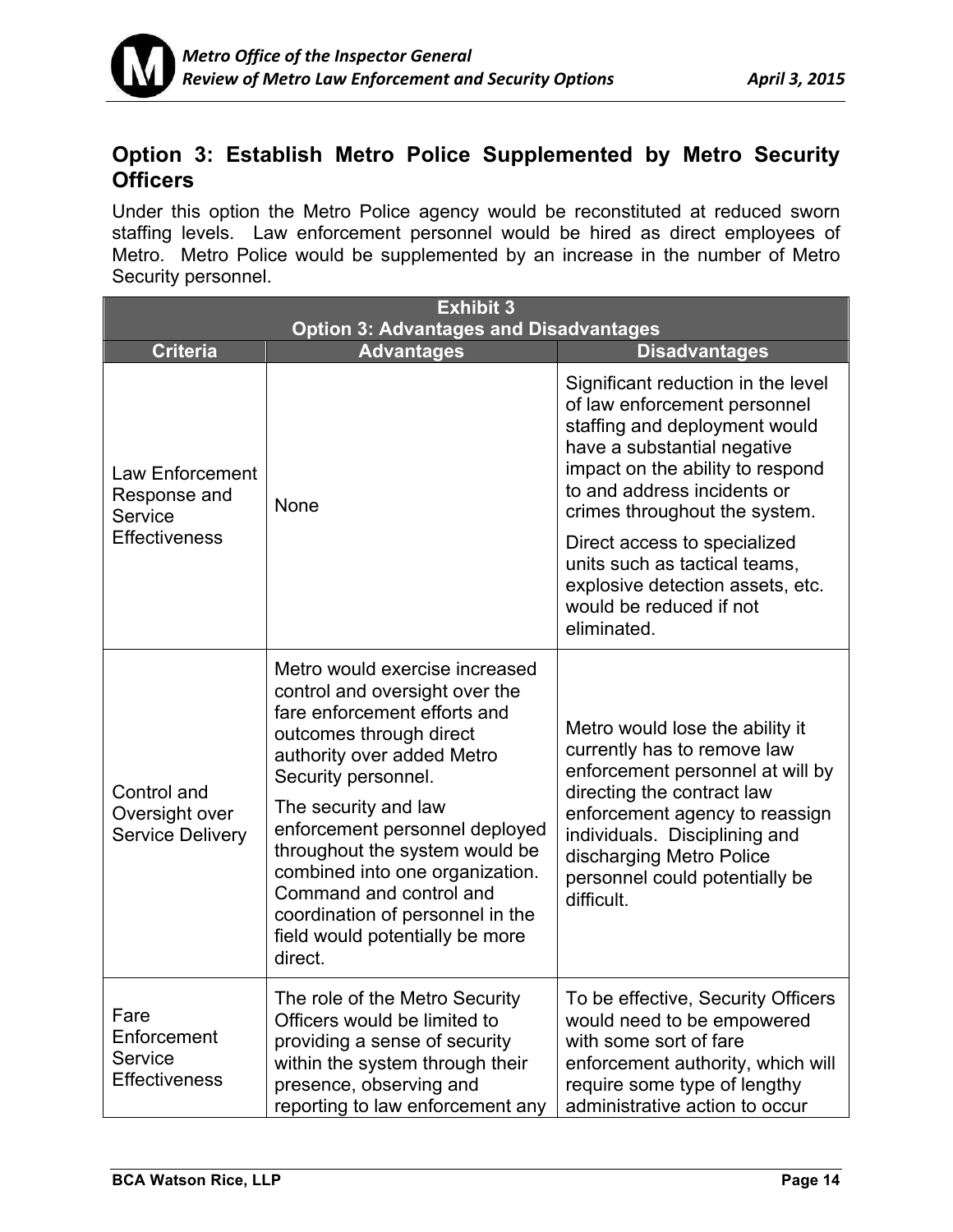## **Option 3: Establish Metro Police Supplemented by Metro Security Officers**

Under this option the Metro Police agency would be reconstituted at reduced sworn staffing levels. Law enforcement personnel would be hired as direct employees of Metro. Metro Police would be supplemented by an increase in the number of Metro Security personnel.

| <b>Exhibit 3</b><br><b>Option 3: Advantages and Disadvantages</b>  |                                                                                                                                                                                                                                                                                                                                                                                                                              |                                                                                                                                                                                                                                                                                 |  |
|--------------------------------------------------------------------|------------------------------------------------------------------------------------------------------------------------------------------------------------------------------------------------------------------------------------------------------------------------------------------------------------------------------------------------------------------------------------------------------------------------------|---------------------------------------------------------------------------------------------------------------------------------------------------------------------------------------------------------------------------------------------------------------------------------|--|
| <b>Criteria</b>                                                    | <b>Advantages</b>                                                                                                                                                                                                                                                                                                                                                                                                            | <b>Disadvantages</b>                                                                                                                                                                                                                                                            |  |
| Law Enforcement<br>Response and<br>Service<br><b>Effectiveness</b> | None                                                                                                                                                                                                                                                                                                                                                                                                                         | Significant reduction in the level<br>of law enforcement personnel<br>staffing and deployment would<br>have a substantial negative<br>impact on the ability to respond<br>to and address incidents or<br>crimes throughout the system.                                          |  |
|                                                                    |                                                                                                                                                                                                                                                                                                                                                                                                                              | Direct access to specialized<br>units such as tactical teams,<br>explosive detection assets, etc.<br>would be reduced if not<br>eliminated.                                                                                                                                     |  |
| Control and<br>Oversight over<br><b>Service Delivery</b>           | Metro would exercise increased<br>control and oversight over the<br>fare enforcement efforts and<br>outcomes through direct<br>authority over added Metro<br>Security personnel.<br>The security and law<br>enforcement personnel deployed<br>throughout the system would be<br>combined into one organization.<br>Command and control and<br>coordination of personnel in the<br>field would potentially be more<br>direct. | Metro would lose the ability it<br>currently has to remove law<br>enforcement personnel at will by<br>directing the contract law<br>enforcement agency to reassign<br>individuals. Disciplining and<br>discharging Metro Police<br>personnel could potentially be<br>difficult. |  |
| Fare<br>Enforcement<br>Service<br><b>Effectiveness</b>             | The role of the Metro Security<br>Officers would be limited to<br>providing a sense of security<br>within the system through their<br>presence, observing and<br>reporting to law enforcement any                                                                                                                                                                                                                            | To be effective, Security Officers<br>would need to be empowered<br>with some sort of fare<br>enforcement authority, which will<br>require some type of lengthy<br>administrative action to occur                                                                               |  |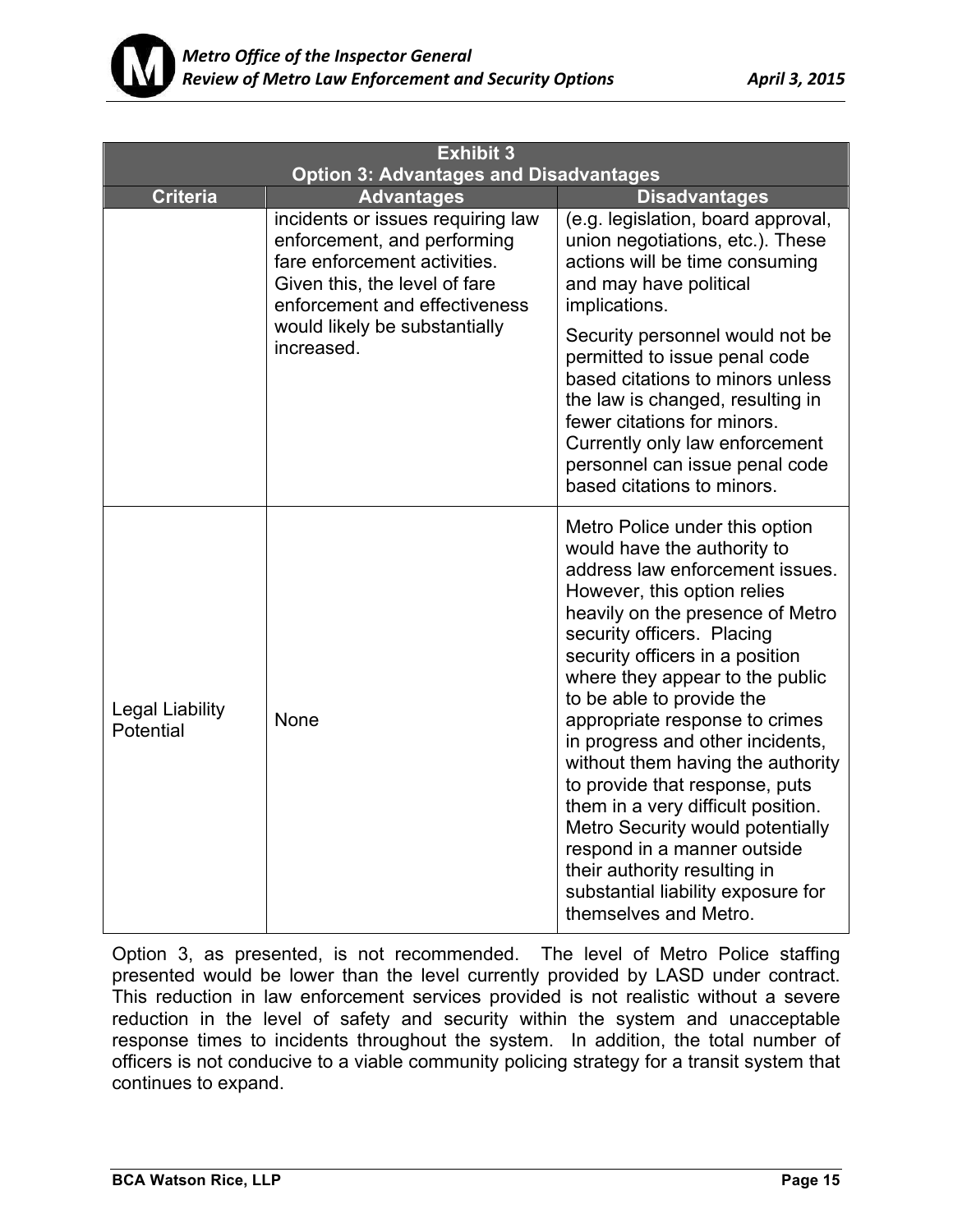

| <b>Exhibit 3</b>                              |                                                                                                                                                                    |                                                                                                                                                                                                                                                                                                                                                                                                                                                                                                                                                                                                                                                           |  |
|-----------------------------------------------|--------------------------------------------------------------------------------------------------------------------------------------------------------------------|-----------------------------------------------------------------------------------------------------------------------------------------------------------------------------------------------------------------------------------------------------------------------------------------------------------------------------------------------------------------------------------------------------------------------------------------------------------------------------------------------------------------------------------------------------------------------------------------------------------------------------------------------------------|--|
| <b>Option 3: Advantages and Disadvantages</b> |                                                                                                                                                                    |                                                                                                                                                                                                                                                                                                                                                                                                                                                                                                                                                                                                                                                           |  |
| <b>Criteria</b>                               | <b>Advantages</b>                                                                                                                                                  | <b>Disadvantages</b>                                                                                                                                                                                                                                                                                                                                                                                                                                                                                                                                                                                                                                      |  |
|                                               | incidents or issues requiring law<br>enforcement, and performing<br>fare enforcement activities.<br>Given this, the level of fare<br>enforcement and effectiveness | (e.g. legislation, board approval,<br>union negotiations, etc.). These<br>actions will be time consuming<br>and may have political<br>implications.                                                                                                                                                                                                                                                                                                                                                                                                                                                                                                       |  |
|                                               | would likely be substantially<br>increased.                                                                                                                        | Security personnel would not be<br>permitted to issue penal code<br>based citations to minors unless<br>the law is changed, resulting in<br>fewer citations for minors.<br>Currently only law enforcement<br>personnel can issue penal code<br>based citations to minors.                                                                                                                                                                                                                                                                                                                                                                                 |  |
| <b>Legal Liability</b><br>Potential           | <b>None</b>                                                                                                                                                        | Metro Police under this option<br>would have the authority to<br>address law enforcement issues.<br>However, this option relies<br>heavily on the presence of Metro<br>security officers. Placing<br>security officers in a position<br>where they appear to the public<br>to be able to provide the<br>appropriate response to crimes<br>in progress and other incidents,<br>without them having the authority<br>to provide that response, puts<br>them in a very difficult position.<br>Metro Security would potentially<br>respond in a manner outside<br>their authority resulting in<br>substantial liability exposure for<br>themselves and Metro. |  |

Option 3, as presented, is not recommended. The level of Metro Police staffing presented would be lower than the level currently provided by LASD under contract. This reduction in law enforcement services provided is not realistic without a severe reduction in the level of safety and security within the system and unacceptable response times to incidents throughout the system. In addition, the total number of officers is not conducive to a viable community policing strategy for a transit system that continues to expand.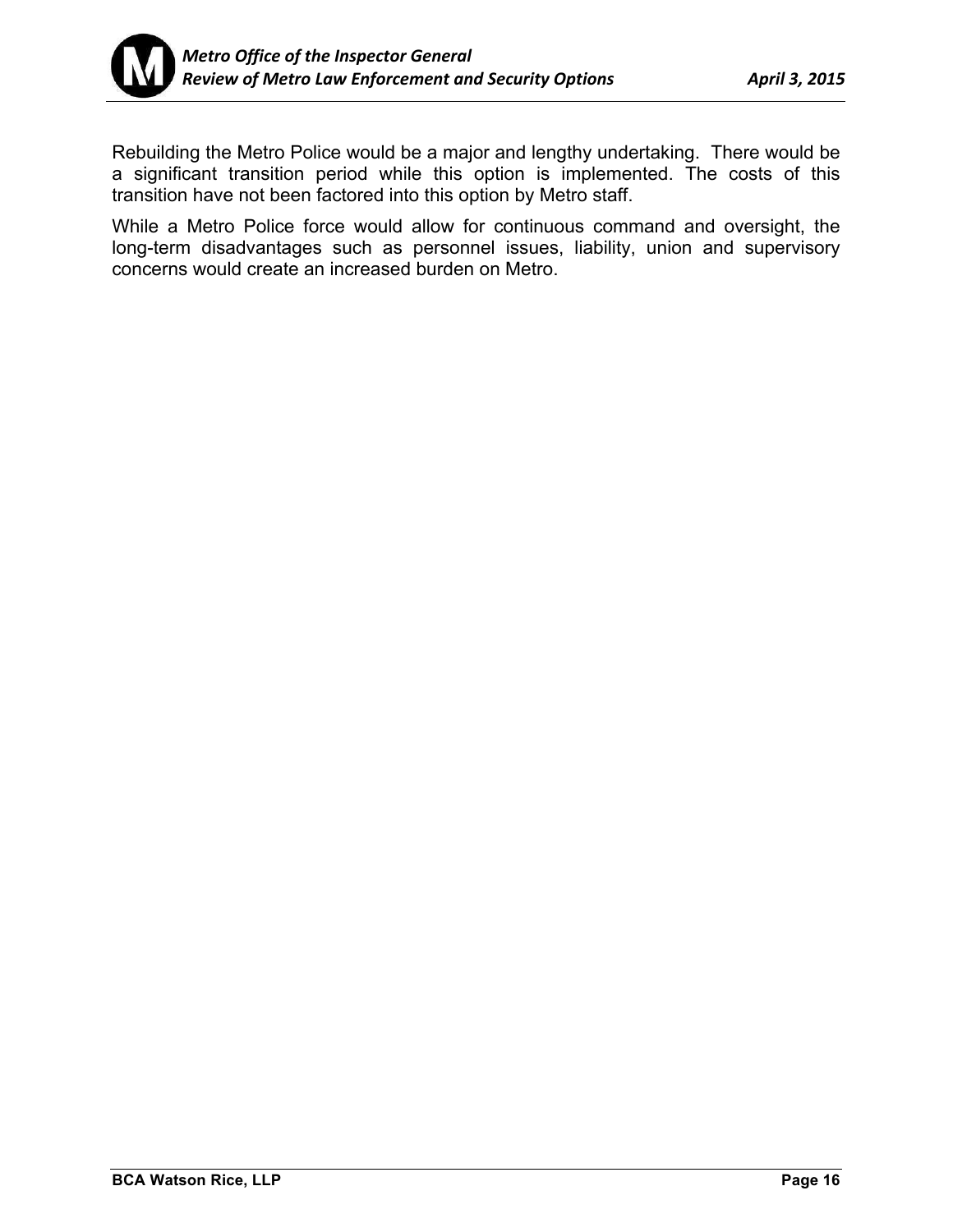

Rebuilding the Metro Police would be a major and lengthy undertaking. There would be a significant transition period while this option is implemented. The costs of this transition have not been factored into this option by Metro staff.

While a Metro Police force would allow for continuous command and oversight, the long-term disadvantages such as personnel issues, liability, union and supervisory concerns would create an increased burden on Metro.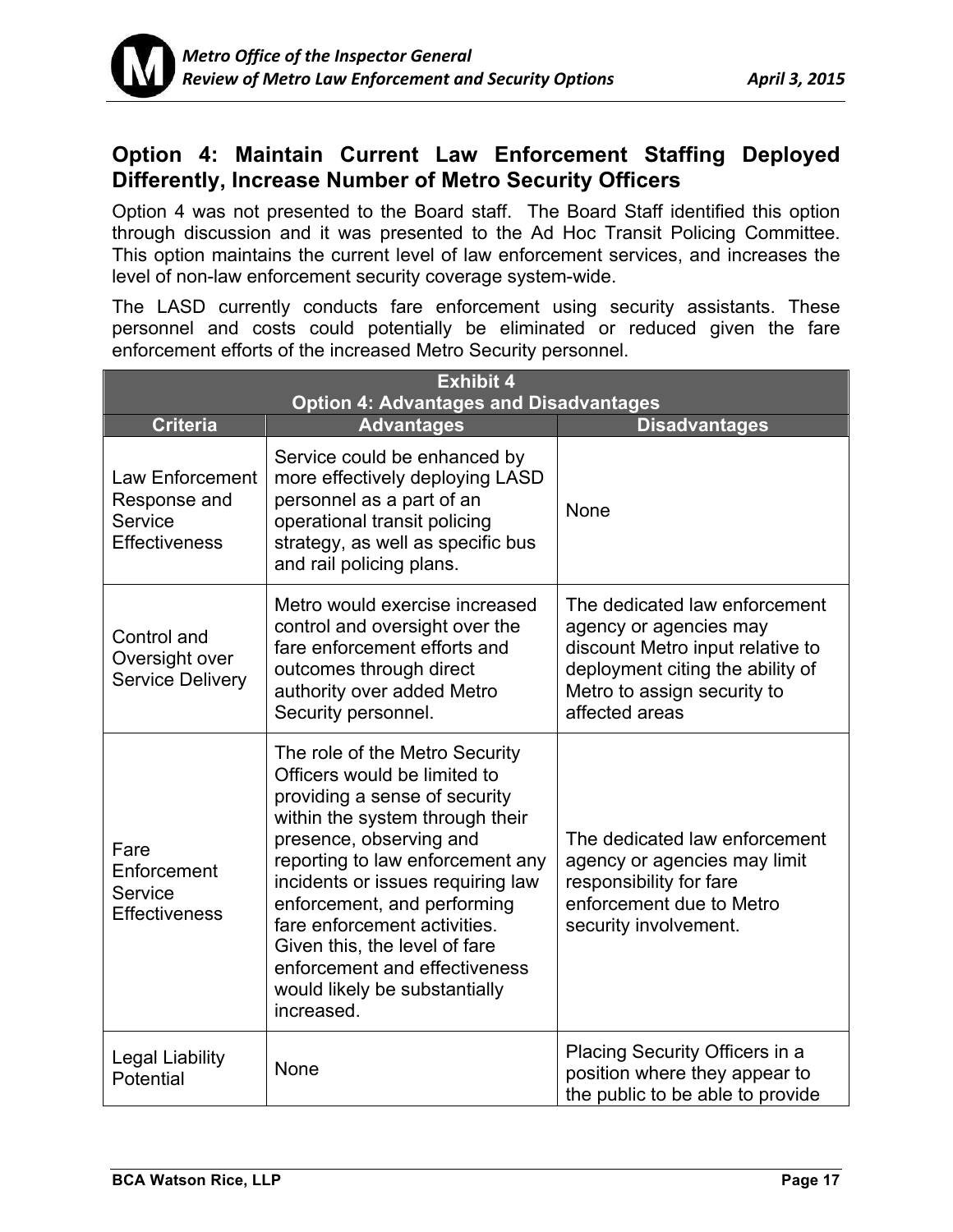

## **Option 4: Maintain Current Law Enforcement Staffing Deployed Differently, Increase Number of Metro Security Officers**

Option 4 was not presented to the Board staff. The Board Staff identified this option through discussion and it was presented to the Ad Hoc Transit Policing Committee. This option maintains the current level of law enforcement services, and increases the level of non-law enforcement security coverage system-wide.

The LASD currently conducts fare enforcement using security assistants. These personnel and costs could potentially be eliminated or reduced given the fare enforcement efforts of the increased Metro Security personnel.

| <b>Exhibit 4</b><br><b>Option 4: Advantages and Disadvantages</b>  |                                                                                                                                                                                                                                                                                                                                                                                                                        |                                                                                                                                                                                  |  |
|--------------------------------------------------------------------|------------------------------------------------------------------------------------------------------------------------------------------------------------------------------------------------------------------------------------------------------------------------------------------------------------------------------------------------------------------------------------------------------------------------|----------------------------------------------------------------------------------------------------------------------------------------------------------------------------------|--|
| <b>Criteria</b>                                                    | <b>Advantages</b>                                                                                                                                                                                                                                                                                                                                                                                                      | <b>Disadvantages</b>                                                                                                                                                             |  |
| Law Enforcement<br>Response and<br>Service<br><b>Effectiveness</b> | Service could be enhanced by<br>more effectively deploying LASD<br>personnel as a part of an<br>operational transit policing<br>strategy, as well as specific bus<br>and rail policing plans.                                                                                                                                                                                                                          | None                                                                                                                                                                             |  |
| Control and<br>Oversight over<br><b>Service Delivery</b>           | Metro would exercise increased<br>control and oversight over the<br>fare enforcement efforts and<br>outcomes through direct<br>authority over added Metro<br>Security personnel.                                                                                                                                                                                                                                       | The dedicated law enforcement<br>agency or agencies may<br>discount Metro input relative to<br>deployment citing the ability of<br>Metro to assign security to<br>affected areas |  |
| Fare<br>Enforcement<br>Service<br><b>Effectiveness</b>             | The role of the Metro Security<br>Officers would be limited to<br>providing a sense of security<br>within the system through their<br>presence, observing and<br>reporting to law enforcement any<br>incidents or issues requiring law<br>enforcement, and performing<br>fare enforcement activities.<br>Given this, the level of fare<br>enforcement and effectiveness<br>would likely be substantially<br>increased. | The dedicated law enforcement<br>agency or agencies may limit<br>responsibility for fare<br>enforcement due to Metro<br>security involvement.                                    |  |
| <b>Legal Liability</b><br>Potential                                | None                                                                                                                                                                                                                                                                                                                                                                                                                   | Placing Security Officers in a<br>position where they appear to<br>the public to be able to provide                                                                              |  |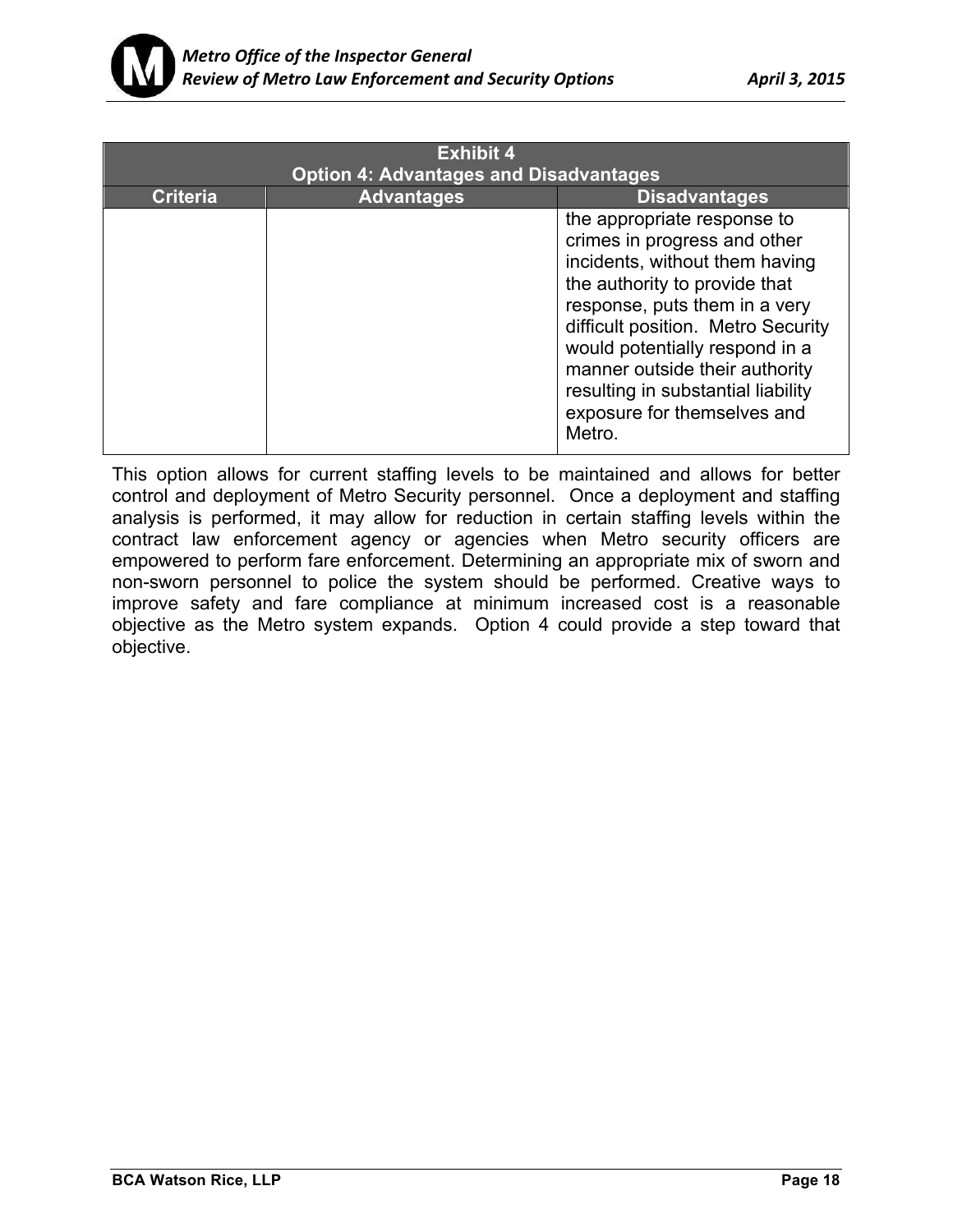

| <b>Exhibit 4</b><br><b>Option 4: Advantages and Disadvantages</b> |                   |                                                                                                                                                                                                                                                                                                                                                          |
|-------------------------------------------------------------------|-------------------|----------------------------------------------------------------------------------------------------------------------------------------------------------------------------------------------------------------------------------------------------------------------------------------------------------------------------------------------------------|
|                                                                   |                   |                                                                                                                                                                                                                                                                                                                                                          |
| <b>Criteria</b>                                                   | <b>Advantages</b> | <b>Disadvantages</b>                                                                                                                                                                                                                                                                                                                                     |
|                                                                   |                   | the appropriate response to<br>crimes in progress and other<br>incidents, without them having<br>the authority to provide that<br>response, puts them in a very<br>difficult position. Metro Security<br>would potentially respond in a<br>manner outside their authority<br>resulting in substantial liability<br>exposure for themselves and<br>Metro. |

This option allows for current staffing levels to be maintained and allows for better control and deployment of Metro Security personnel. Once a deployment and staffing analysis is performed, it may allow for reduction in certain staffing levels within the contract law enforcement agency or agencies when Metro security officers are empowered to perform fare enforcement. Determining an appropriate mix of sworn and non-sworn personnel to police the system should be performed. Creative ways to improve safety and fare compliance at minimum increased cost is a reasonable objective as the Metro system expands. Option 4 could provide a step toward that objective.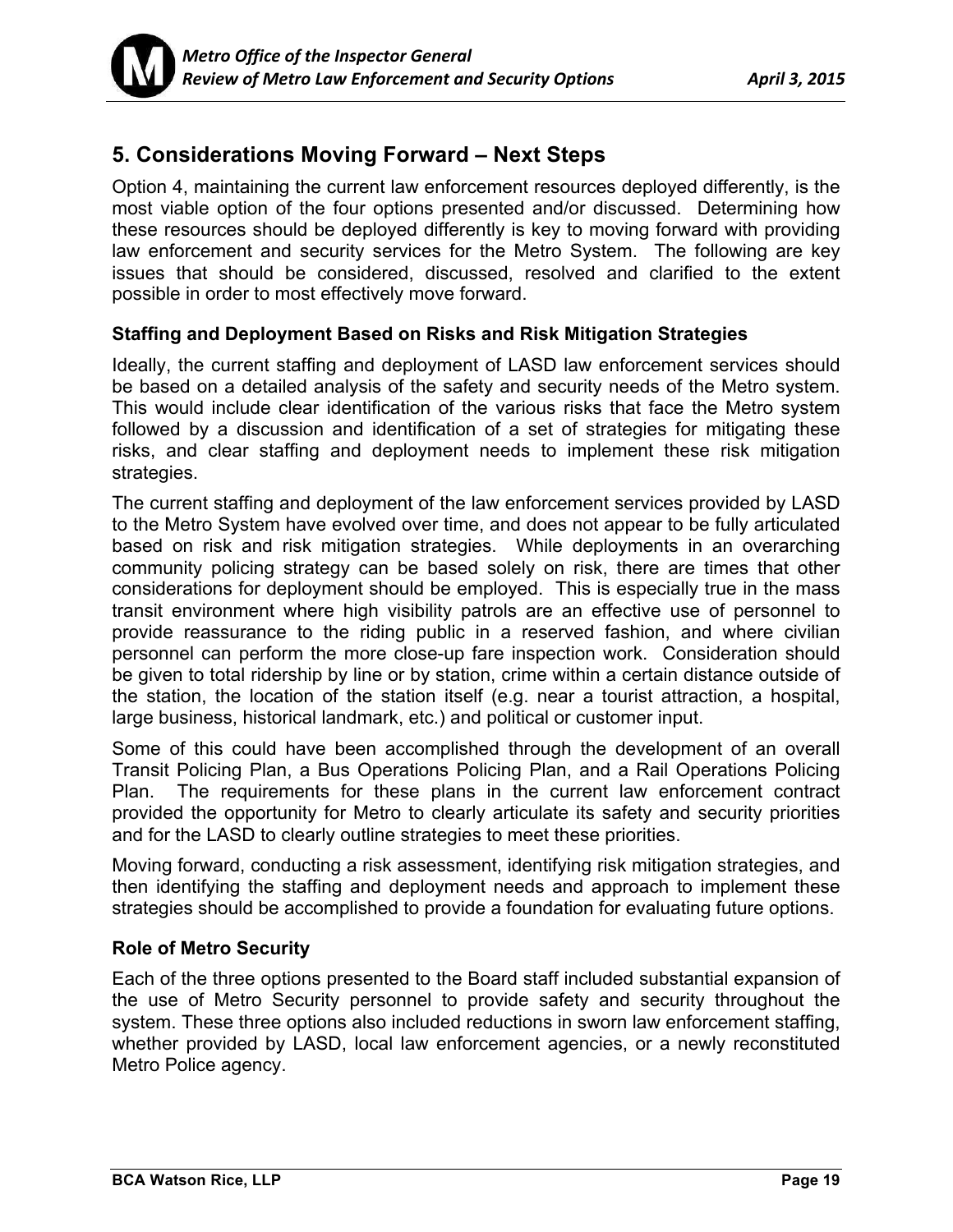

## **5. Considerations Moving Forward – Next Steps**

Option 4, maintaining the current law enforcement resources deployed differently, is the most viable option of the four options presented and/or discussed. Determining how these resources should be deployed differently is key to moving forward with providing law enforcement and security services for the Metro System. The following are key issues that should be considered, discussed, resolved and clarified to the extent possible in order to most effectively move forward.

### **Staffing and Deployment Based on Risks and Risk Mitigation Strategies**

Ideally, the current staffing and deployment of LASD law enforcement services should be based on a detailed analysis of the safety and security needs of the Metro system. This would include clear identification of the various risks that face the Metro system followed by a discussion and identification of a set of strategies for mitigating these risks, and clear staffing and deployment needs to implement these risk mitigation strategies.

The current staffing and deployment of the law enforcement services provided by LASD to the Metro System have evolved over time, and does not appear to be fully articulated based on risk and risk mitigation strategies. While deployments in an overarching community policing strategy can be based solely on risk, there are times that other considerations for deployment should be employed. This is especially true in the mass transit environment where high visibility patrols are an effective use of personnel to provide reassurance to the riding public in a reserved fashion, and where civilian personnel can perform the more close-up fare inspection work. Consideration should be given to total ridership by line or by station, crime within a certain distance outside of the station, the location of the station itself (e.g. near a tourist attraction, a hospital, large business, historical landmark, etc.) and political or customer input.

Some of this could have been accomplished through the development of an overall Transit Policing Plan, a Bus Operations Policing Plan, and a Rail Operations Policing Plan. The requirements for these plans in the current law enforcement contract provided the opportunity for Metro to clearly articulate its safety and security priorities and for the LASD to clearly outline strategies to meet these priorities.

Moving forward, conducting a risk assessment, identifying risk mitigation strategies, and then identifying the staffing and deployment needs and approach to implement these strategies should be accomplished to provide a foundation for evaluating future options.

### **Role of Metro Security**

Each of the three options presented to the Board staff included substantial expansion of the use of Metro Security personnel to provide safety and security throughout the system. These three options also included reductions in sworn law enforcement staffing, whether provided by LASD, local law enforcement agencies, or a newly reconstituted Metro Police agency.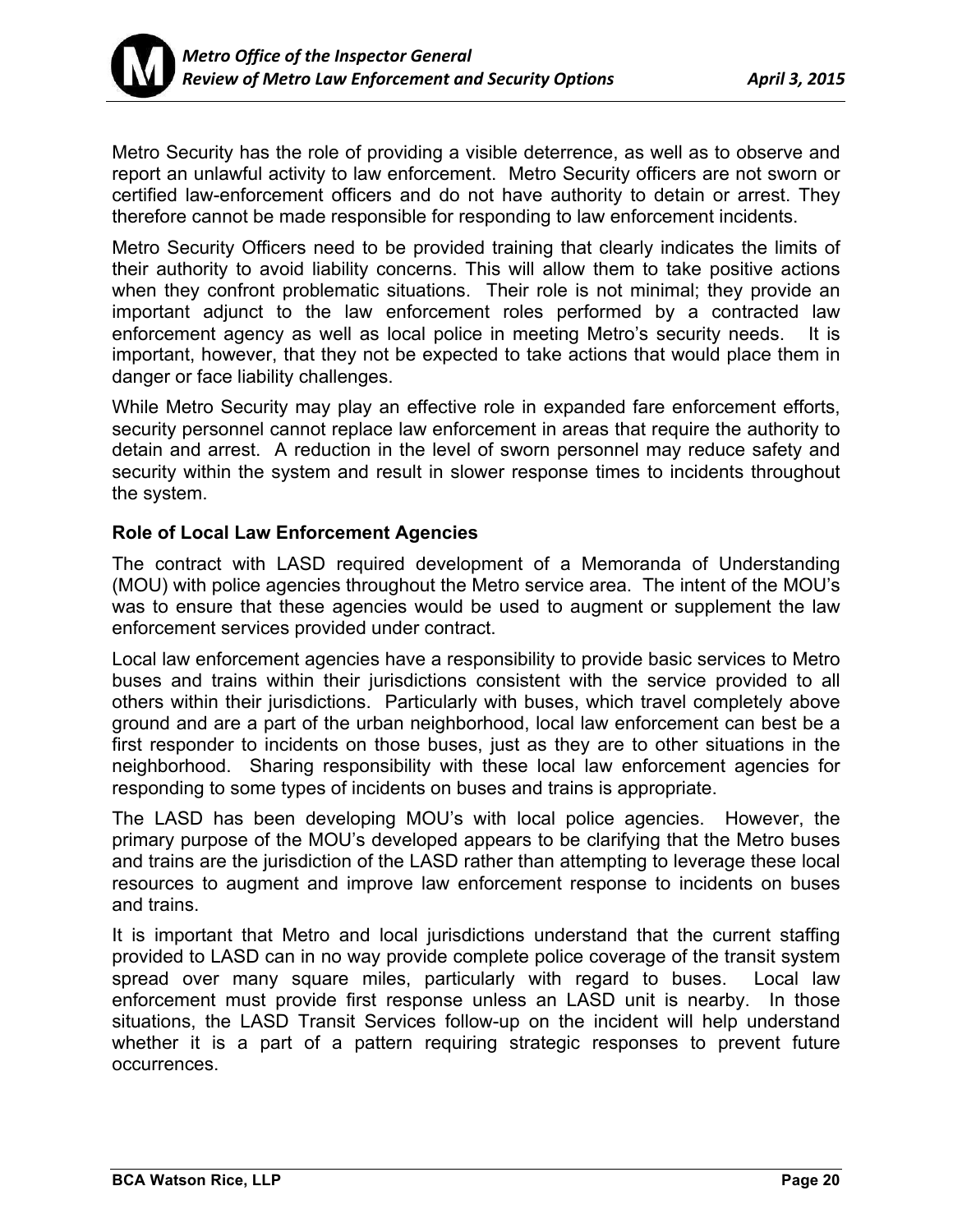

Metro Security has the role of providing a visible deterrence, as well as to observe and report an unlawful activity to law enforcement. Metro Security officers are not sworn or certified law-enforcement officers and do not have authority to detain or arrest. They therefore cannot be made responsible for responding to law enforcement incidents.

Metro Security Officers need to be provided training that clearly indicates the limits of their authority to avoid liability concerns. This will allow them to take positive actions when they confront problematic situations. Their role is not minimal; they provide an important adjunct to the law enforcement roles performed by a contracted law enforcement agency as well as local police in meeting Metro's security needs. It is important, however, that they not be expected to take actions that would place them in danger or face liability challenges.

While Metro Security may play an effective role in expanded fare enforcement efforts, security personnel cannot replace law enforcement in areas that require the authority to detain and arrest. A reduction in the level of sworn personnel may reduce safety and security within the system and result in slower response times to incidents throughout the system.

### **Role of Local Law Enforcement Agencies**

The contract with LASD required development of a Memoranda of Understanding (MOU) with police agencies throughout the Metro service area. The intent of the MOU's was to ensure that these agencies would be used to augment or supplement the law enforcement services provided under contract.

Local law enforcement agencies have a responsibility to provide basic services to Metro buses and trains within their jurisdictions consistent with the service provided to all others within their jurisdictions. Particularly with buses, which travel completely above ground and are a part of the urban neighborhood, local law enforcement can best be a first responder to incidents on those buses, just as they are to other situations in the neighborhood. Sharing responsibility with these local law enforcement agencies for responding to some types of incidents on buses and trains is appropriate.

The LASD has been developing MOU's with local police agencies. However, the primary purpose of the MOU's developed appears to be clarifying that the Metro buses and trains are the jurisdiction of the LASD rather than attempting to leverage these local resources to augment and improve law enforcement response to incidents on buses and trains.

It is important that Metro and local jurisdictions understand that the current staffing provided to LASD can in no way provide complete police coverage of the transit system spread over many square miles, particularly with regard to buses. Local law enforcement must provide first response unless an LASD unit is nearby. In those situations, the LASD Transit Services follow-up on the incident will help understand whether it is a part of a pattern requiring strategic responses to prevent future occurrences.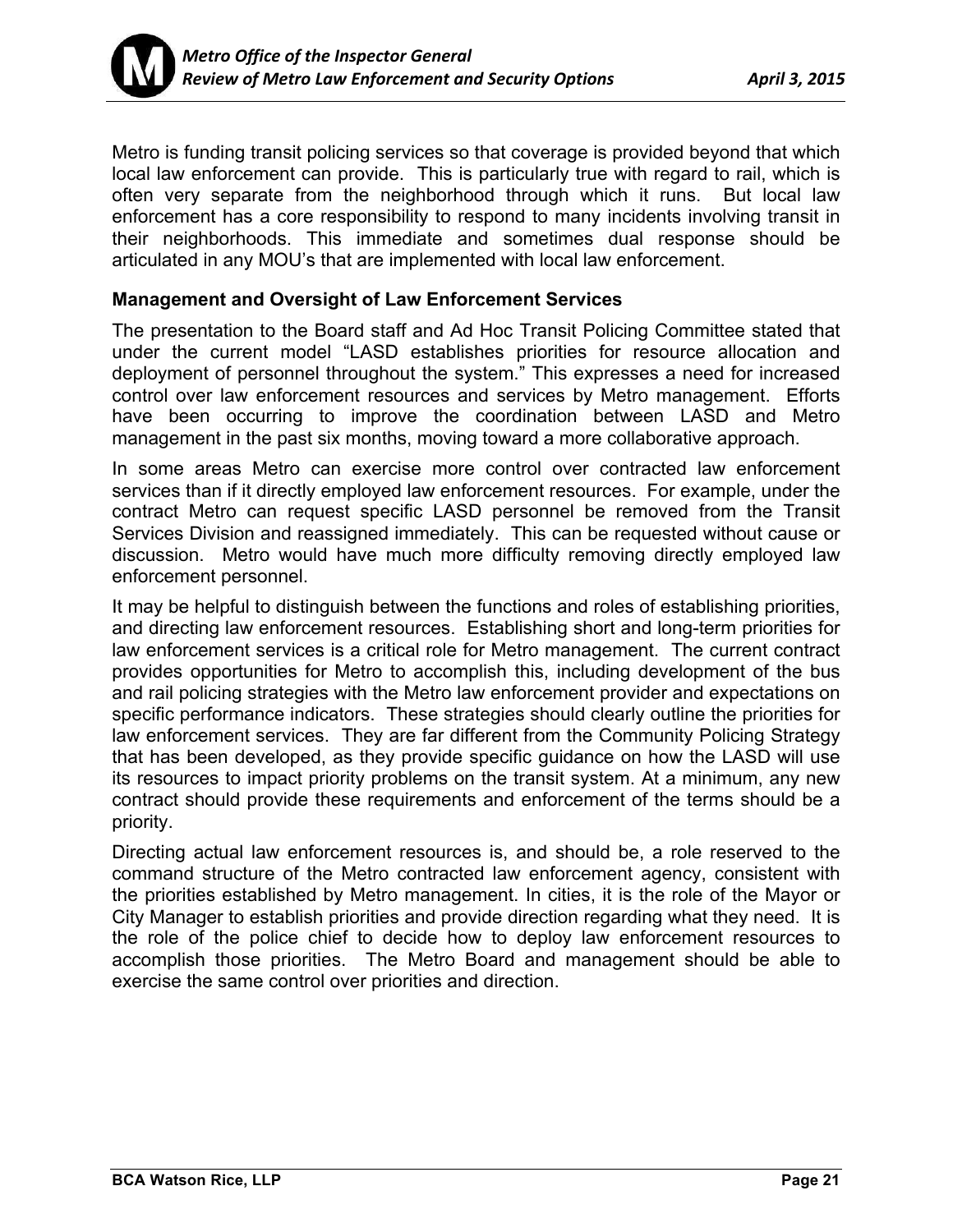

Metro is funding transit policing services so that coverage is provided beyond that which local law enforcement can provide. This is particularly true with regard to rail, which is often very separate from the neighborhood through which it runs. But local law enforcement has a core responsibility to respond to many incidents involving transit in their neighborhoods. This immediate and sometimes dual response should be articulated in any MOU's that are implemented with local law enforcement.

### **Management and Oversight of Law Enforcement Services**

The presentation to the Board staff and Ad Hoc Transit Policing Committee stated that under the current model "LASD establishes priorities for resource allocation and deployment of personnel throughout the system." This expresses a need for increased control over law enforcement resources and services by Metro management. Efforts have been occurring to improve the coordination between LASD and Metro management in the past six months, moving toward a more collaborative approach.

In some areas Metro can exercise more control over contracted law enforcement services than if it directly employed law enforcement resources. For example, under the contract Metro can request specific LASD personnel be removed from the Transit Services Division and reassigned immediately. This can be requested without cause or discussion. Metro would have much more difficulty removing directly employed law enforcement personnel.

It may be helpful to distinguish between the functions and roles of establishing priorities, and directing law enforcement resources. Establishing short and long-term priorities for law enforcement services is a critical role for Metro management. The current contract provides opportunities for Metro to accomplish this, including development of the bus and rail policing strategies with the Metro law enforcement provider and expectations on specific performance indicators. These strategies should clearly outline the priorities for law enforcement services. They are far different from the Community Policing Strategy that has been developed, as they provide specific guidance on how the LASD will use its resources to impact priority problems on the transit system. At a minimum, any new contract should provide these requirements and enforcement of the terms should be a priority.

Directing actual law enforcement resources is, and should be, a role reserved to the command structure of the Metro contracted law enforcement agency, consistent with the priorities established by Metro management. In cities, it is the role of the Mayor or City Manager to establish priorities and provide direction regarding what they need. It is the role of the police chief to decide how to deploy law enforcement resources to accomplish those priorities. The Metro Board and management should be able to exercise the same control over priorities and direction.